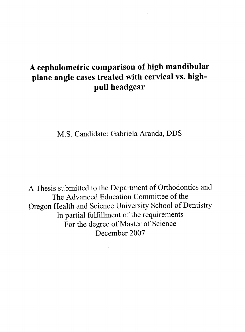# **A cephalometric comparison of high mandibular plane angle cases treated with cervical** vs. **highpull headgear**

M.S. Candidate: Gabriela Aranda, DDS

A Thesis submitted to the Department of Orthodontics and The Advanced Education Committee of the Oregon Health and Science University School of Dentistry In partial fulfillment of the requirements For the degree of Master of Science December 2007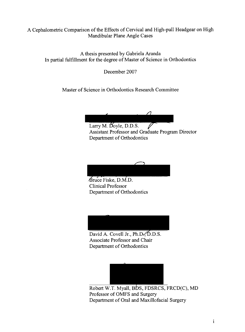## A Cephalometric Comparison of the Effects of Cervical and High-pull Headgear on High Mandibular Plane Angle Cases

A thesis presented by Gabriela Aranda In partial fulfillment for the degree of Master of Science in Orthodontics

December 2007

Master of Science in Orthodontics Research Committee

Larry M. Doyle, D.D.S. 1 Assistant Professor and Graduate Program Director Department of Orthodontics

.Bruce Fiske, D.M.D. Clinical Professor Department of Orthodontics

David A. Covell Jr.,  $Ph.D.$ ,  $D.S.$ Associate Professor and Chair Department of Orthodontics



Robert W.T. Myall, BDS, FDSRCS, FRCD(C), MD Professor of OMFS and Surgery Department of Oral and Maxillofacial Surgery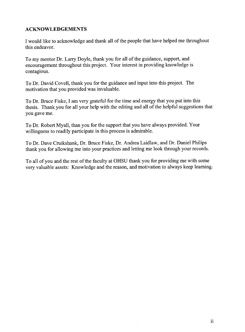### **ACKNOWLEDGEMENTS**

I would like to acknowledge and thank all of the people that have helped me throughout this endeavor.

To my mentor Dr. Larry Doyle, thank you for all of the guidance, support, and encouragement throughout this project. Your interest in providing knowledge is contagious.

To Dr. David Covell, thank you for the guidance and input into this project. The motivation that you provided was invaluable.

To Dr. Bruce Fiske, I am very grateful for the time and energy that you put into this thesis. Thank you for all your help with the editing and all of the helpful suggestions that you gave me.

To Dr. Robert Myall, than you for the support that you have always provided. Your willingness to readily participate in this process is admirable.

To Dr. Dave Cruikshank, Dr. Bruce Fiske, Dr. Andrea Laidlaw, and Dr. Daniel Philips thank you for allowing me into your practices and letting me look through your records.

To all of you and the rest of the faculty at OHSU thank you for providing me with some very valuable assets: Knowledge and the reason, and motivation to always keep learning.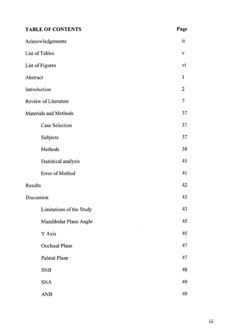| <b>TABLE OF CONTENTS</b> | Page           |
|--------------------------|----------------|
| Acknowledgements         | $\mathbf{ii}$  |
| List of Tables           | $\mathbf{V}$   |
| List of Figures          | vi             |
| Abstract                 | $\mathbf{1}$   |
| Introduction             | $\overline{2}$ |
| Review of Literature     | 7              |
| Materials and Methods    | 37             |
| <b>Case Selection</b>    | 37             |
| Subjects                 | 37             |
| Methods                  | 38             |
| Statistical analysis     | 41             |
| Error of Method          | 41             |
| Results                  | 42             |
| Discussion               | 43             |
| Limitations of the Study | 43             |
| Mandibular Plane Angle   | 45             |
| Y Axis                   | 45             |
| Occlusal Plane           | 47             |
| Palatal Plane            | 47             |
| <b>SNB</b>               | 48             |
| <b>SNA</b>               | 49             |
| <b>ANB</b>               | 49             |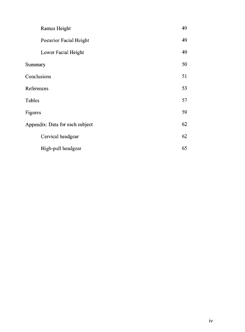| Ramus Height                    | 49 |
|---------------------------------|----|
| Posterior Facial Height         | 49 |
| Lower Facial Height             | 49 |
| Summary                         | 50 |
| Conclusions                     | 51 |
| References                      | 53 |
| Tables                          | 57 |
| Figures                         | 59 |
| Appendix: Data for each subject | 62 |
| Cervical headgear               | 62 |
| High-pull headgear              | 65 |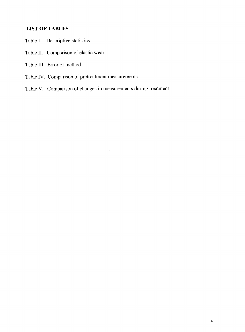# **LIST OF TABLES**

- Table I. Descriptive statistics
- Table II. Comparison of elastic wear

Table III. Error of method

- Table IV. Comparison of pretreatment measurements
- Table V. Comparison of changes in measurements during treatment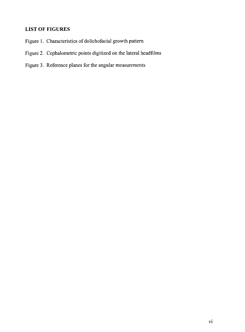# **LIST OF FIGURES**

- Figure **1.** Characteristics of dolichofacial growth pattern
- Figure 2. Cephalometric points digitized on the lateral headfilms
- Figure 3. Reference planes for the angular measurements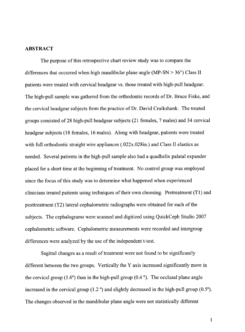#### **ABSTRACT**

The purpose of this retrospective chart review study was to compare the differences that occurred when high mandibular plane angle (MP-SN  $> 36^{\circ}$ ) Class II patients were treated with cervical headgear vs. those treated with high-pull headgear. The high-pull sample was gathered from the orthodontic records of Dr. Bruce Fiske, and the cervical headgear subjects from the practice of Dr. David Cruikshank. The treated groups consisted of 28 high-pull headgear subjects (21 females, 7 males) and 34 cervical headgear subjects (18 females, 16 males). Along with headgear, patients were treated with full orthodontic straight wire appliances (.022x.028in.) and Class II elastics as needed. Several patients in the high-pull sample also had a quadhelix palatal expander <sup>p</sup>laced for a short time at the beginning of treatment. No control group was employed since the focus of this study was to determine what happened when experienced clinicians treated patients using techniques of their own choosing. Pretreatment (T1) and posttreatment (T2) lateral cephalometric radiographs were obtained for each of the subjects. The cephalograms were scanned and digitized using QuickCeph Studio 2007 cephalometric software. Cephalometric measurements were recorded and intergroup differences were analyzed by the use of the independent t-test.

Sagittal changes as a result of treatment were not found to be significantly different between the two groups. Vertically the Y axis increased significantly more in the cervical group  $(1.6^{\circ})$  than in the high-pull group  $(0.4^{\circ})$ . The occlusal plane angle increased in the cervical group (1.2  $\degree$ ) and slightly decreased in the high-pull group (0.5 $\degree$ ). The changes observed in the mandibular plane angle were not statistically different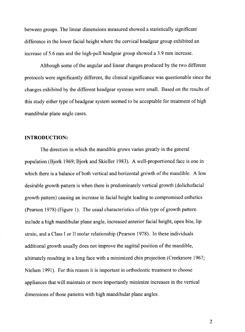between groups. The linear dimensions measured showed a statistically significant difference in the lower facial height where the cervical headgear group exhibited an increase of5.6 mm and the high-pull headgear group showed a 3.9 mm increase.

Although some of the angular and linear changes produced by the two different protocols were significantly different, the clinical significance was questionable since the changes exhibited by the different headgear systems were small. Based on the results of this study either type of headgear system seemed to be acceptable for treatment of high mandibular plane angle cases.

#### **INTRODUCTION:**

The direction in which the mandible grows varies greatly in the general population (Bjork 1969; Bjork and Skieller 1983). A well-proportioned face is one in which there is a balance of both vertical and horizontal growth of the mandible. A less desirable growth pattern is when there is predominately vertical growth (dolichofacial growth pattern) causing an increase in facial height leading to compromised esthetics (Pearson 1978) (Figure 1). The usual characteristics of this type of growth pattern include a high mandibular plane angle, increased anterior facial height, open bite, lip strain, and a Class I or II molar relationship (Pearson 1978). In these individuals additional growth usually does not improve the sagittal position of the mandible, ultimately resulting in a long face with a minimized chin projection (Creekmore 1967; Nielsen 1991). For this reason it is important in orthodontic treatment to choose appliances that will maintain or more importantly minimize increases in the vertical dimensions of those patients with high mandibular plane angles.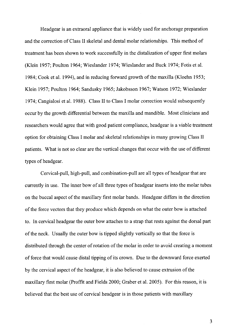Headgear is an extraoral appliance that is widely used for anchorage preparation and the correction of Class II skeletal and dental molar relationships. This method of treatment has been shown to work successfully in the distalization of upper first molars (Klein 1957; Poulton 1964; Wieslander 1974; Wieslander and Buck 1974; Fotis et al. 1984; Cook et al. 1994), and in reducing forward growth of the maxilla (Kloehn 1953; Klein 1957; Poulton 1964; Sandusky 1965; Jakobsson 1967; Watson 1972; Wieslander 1974; Cangialosi et al. 1988). Class II to Class I molar correction would subsequently occur by the growth differential between the maxilla and mandible. Most clinicians and researchers would agree that with good patient compliance, headgear is a viable treatment option for obtaining Class I molar and skeletal relationships in many growing Class II patients. What is not so clear are the vertical changes that occur with the use of different types of headgear.

Cervical-pull, high-pull, and combination-pull are all types of headgear that are currently in use. The inner bow of all three types of headgear inserts into the molar tubes on the buccal aspect of the maxillary first molar bands. Headgear differs in the direction of the force vectors that they produce which depends on what the outer bow is attached to. In cervical headgear the outer bow attaches to a strap that rests against the dorsal part of the neck. Usually the outer bow is tipped slightly vertically so that the force is distributed through the center of rotation of the molar in order to avoid creating a moment of force that would cause distal tipping of its crown. Due to the downward force exerted by the cervical aspect of the headgear, it is also believed to cause extrusion of the maxillary first molar (Proffit and Fields 2000; Graber et al. 2005). For this reason, it is believed that the best use of cervical headgear is in those patients with maxillary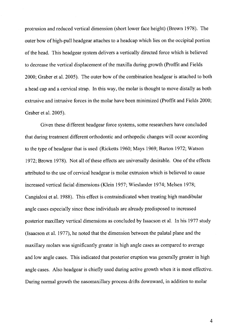protrusion and reduced vertical dimension (short lower face height) (Brown 1978). The outer bow of high-pull headgear attaches to a headcap which lies on the occipital portion of the head. This headgear system delivers a vertically directed force which is believed to decrease the vertical displacement of the maxilla during growth (Proffit and Fields 2000; Graber et al. 2005). The outer bow of the combination headgear is attached to both a head cap and a cervical strap. In this way, the molar is thought to move distally as both extrusive and intrusive forces in the molar have been minimized (Proffit and Fields 2000; Graber et al. 2005).

Given these different headgear force systems, some researchers have concluded that during treatment different orthodontic and orthopedic changes will occur according to the type of headgear that is used (Ricketts 1960; Mays 1969; Barton 1972; Watson 1972; Brown 1978). Not all of these effects are universally desirable. One of the effects attributed to the use of cervical headgear is molar extrusion which is believed to cause increased vertical facial dimensions (Klein 1957; Wieslander 1974; Melsen 1978; Cangialosi et al. 1988). This effect is contraindicated when treating high mandibular angle cases especially since these individuals are already predisposed to increased posterior maxillary vertical dimensions as concluded by Issacson et al. In his 1977 study (Isaacson et al. 1977), he noted that the dimension between the palatal plane and the maxillary molars was significantly greater in high angle cases as compared to average and low angle cases. This indicated that posterior eruption was generally greater in high angle cases. Also headgear is chiefly used during active growth when it is most effective. During normal growth the nasomaxillary process drifts downward, in addition to molar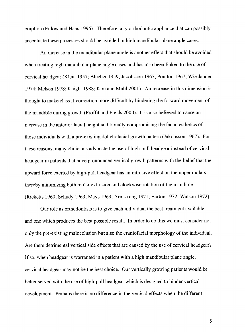eruption (Enlow and Hans 1996). Therefore, any orthodontic appliance that can possibly accentuate these processes should be avoided in high mandibular plane angle cases.

An increase in the mandibular plane angle is another effect that should be avoided when treating high mandibular plane angle cases and has also been linked to the use of cervical headgear (Klein 1957; Blueher 1959; Jakobsson 1967; Poulton 1967; Wieslander 1974; Melsen 1978; Knight 1988; Kim and Muhl2001). An increase in this dimension is thought to make class II correction more difficult by hindering the forward movement of the mandible during growth (Proffit and Fields 2000). It is also believed to cause an increase in the anterior facial height additionally compromising the facial esthetics of those individuals with a pre-existing dolichofacial growth pattern (Jakobsson 1967). For these reasons, many clinicians advocate the use of high-pull headgear instead of cervical headgear in patients that have pronounced vertical growth patterns with the belief that the upward force exerted by high-pull headgear has an intrusive effect on the upper molars thereby minimizing both molar extrusion and clockwise rotation of the mandible (Ricketts 1960; Schudy 1963; Mays 1969; Armstrong 1971; Barton 1972; Watson 1972).

Our role as orthodontists is to give each individual the best treatment available and one which produces the best possible result. In order to do this we must consider not only the pre-existing malocclusion but also the craniofacial morphology of the individual. Are there detrimental vertical side effects that are caused by the use of cervical headgear? If so, when headgear is warranted in a patient with a high mandibular plane angle, cervical headgear may not be the best choice. Our vertically growing patients would be better served with the use of high-pull headgear which is designed to hinder vertical development. Perhaps there is no difference in the vertical effects when the different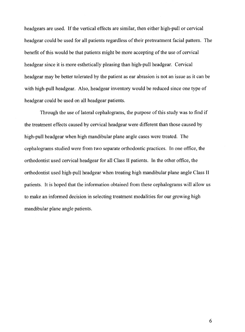headgears are used. If the vertical effects are similar, then either high-pull or cervical headgear could be used for all patients regardless of their pretreatment facial pattern. The benefit of this would be that patients might be more accepting of the use of cervical headgear since it is more esthetically pleasing than high-pull headgear. Cervical headgear may be better tolerated by the patient as ear abrasion is not an issue as it can be with high-pull headgear. Also, headgear inventory would be reduced since one type of headgear could be used on all headgear patients.

Through the use of lateral cephalograms, the purpose of this study was to find if the treatment effects caused by cervical headgear were different than those caused by high-pull headgear when high mandibular plane angle cases were treated. The cephalograms studied were from two separate orthodontic practices. In one office, the orthodontist used cervical headgear for all Class II patients. In the other office, the orthodontist used high-pull headgear when treating high mandibular plane angle Class II patients. It is hoped that the information obtained from these cephalograms will allow us to make an informed decision in selecting treatment modalities for our growing high mandibular plane angle patients.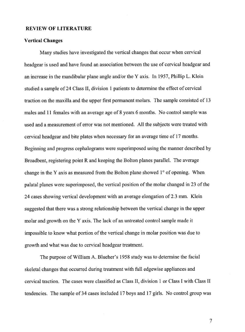#### **REVIEW OF LITERATURE**

#### **Vertical Changes**

Many studies have investigated the vertical changes that occur when cervical headgear is used and have found an association between the use of cervical headgear and an increase in the mandibular plane angle and/or theY axis. In 1957, Phillip L. Klein studied a sample of 24 Class II, division 1 patients to determine the effect of cervical traction on the maxilla and the upper first permanent molars. The sample consisted of 13 males and 11 females with an average age of 8 years 6 months. No control sample was used and a measurement of error was not mentioned. All the subjects were treated with cervical headgear and bite plates when necessary for an average time of 17 months. Beginning and progress cephalograms were superimposed using the manner described by Broadbent, registering point R and keeping the Bolton planes parallel. The average change in the Y axis as measured from the Bolton plane showed 1° of opening. When palatal planes were superimposed, the vertical position of the molar changed in 23 of the 24 cases showing vertical development with an average elongation of 2.3 mm. Klein suggested that there was a strong relationship between the vertical change in the upper molar and growth on the Y axis. The lack of an untreated control sample made it impossible to know what portion of the vertical change in molar position was due to growth and what was due to cervical headgear treatment.

The purpose of William A. Blueher's 1958 study was to determine the facial skeletal changes that occurred during treatment with full edgewise appliances and cervical traction. The cases were classified as Class II, division 1 or Class I with Class II tendencies. The sample of 34 cases included 17 boys and 17 girls. No control group was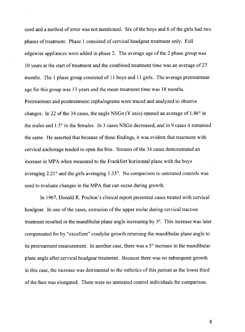used and a method of error was not mentioned. Six of the boys and 6 of the girls had two phases of treatment. Phase 1 consisted of cervical headgear treatment only. Full edgewise appliances were added in phase 2. The average age of the 2 phase group was 10 years at the start of treatment and the combined treatment time was an average of 27 months. The 1 phase group consisted of 11 boys and 11 girls. The average pretreatment age for this group was 13 years and the mean treatment time was 18 months. Pretreatment and posttreatment cephalograms were traced and analyzed to observe changes. In 22 of the 34 cases, the angle NSGn (Y axis) opened an average of 1.86° in the males and 1.5° in the females. In 3 cases NSGn decreased, and in 9 cases it remained the same. He asserted that because of these findings, it was evident that treatment with cervical anchorage tended to open the bite. Sixteen of the 34 cases demonstrated an increase in MPA when measured to the Frankfort horizontal plane with the boys averaging  $2.21^{\circ}$  and the girls averaging  $1.35^{\circ}$ . No comparison to untreated controls was used to evaluate changes in the MPA that can occur during growth.

In 1967, Donald R. Poulton's clinical report presented cases treated with cervical headgear. In one of the cases, extrusion of the upper molar during cervical traction treatment resulted in the mandibular plane angle increasing by 3°. This increase was later compensated for by "excellent" condylar growth returning the mandibular plane angle to its pretreatment measurement. In another case, there was a 5° increase in the mandibular <sup>p</sup>lane angle after cervical headgear treatment. Because there was no subsequent growth in this case, the increase was detrimental to the esthetics of this patient as the lower third of the face was elongated. There were no untreated control individuals for comparison.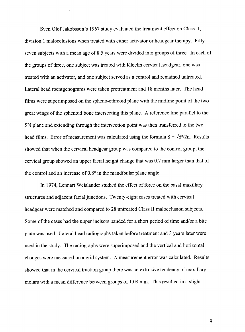Sven Olof Jakobsson's 1967 study evaluated the treatment effect on Class II, division 1 malocclusions when treated with either activator or headgear therapy. Fiftyseven subjects with a mean age of 8.5 years were divided into groups of three. In each of the groups of three, one subject was treated with Kloehn cervical headgear, one was treated with an activator, and one subject served as a control and remained untreated. Lateral head roentgenograms were taken pretreatment and 18 months later. The head films were superimposed on the spheno-ethmoid plane with the midline point of the two great wings of the sphenoid bone intersecting this plane. A reference line parallel to the SN plane and extending through the intersection point was then transferred to the two head films. Error of measurement was calculated using the formula  $S = \sqrt{d^2/2n}$ . Results showed that when the cervical headgear group was compared to the control group, the cervical group showed an upper facial height change that was 0.7 mm larger than that of the control and an increase of  $0.8^\circ$  in the mandibular plane angle.

In 1974, Lennart Weislander studied the effect of force on the basal maxillary structures and adjacent facial junctions. Twenty-eight cases treated with cervical headgear were matched and compared to 28 untreated Class II malocclusion subjects. Some of the cases had the upper incisors banded for a short period of time and/or a bite plate was used. Lateral head radiographs taken before treatment and 3 years later were used in the study. The radiographs were superimposed and the vertical and horizontal changes were measured on a grid system. A measurement error was calculated. Results showed that in the cervical traction group there was an extrusive tendency of maxillary molars with a mean difference between groups of 1.08 mm. This resulted in a slight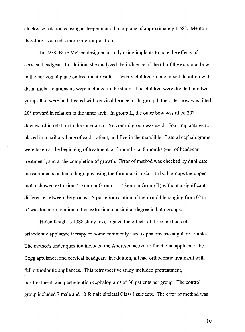clockwise rotation causing a steeper mandibular plane of approximately 1.58°. Menton therefore assumed a more inferior position.

In 1978, Birte Melsen designed a study using implants to note the effects of cervical headgear. In addition, she analyzed the influence of the tilt of the extraoral bow in the horizontal plane on treatment results. Twenty children in late mixed dentition with distal molar relationship were included in the study. The children were divided into two groups that were both treated with cervical headgear. In group I, the outer bow was tilted  $20^{\circ}$  upward in relation to the inner arch. In group II, the outer bow was tilted  $20^{\circ}$ downward in relation to the inner arch. No control group was used. Four implants were placed in maxillary bone of each patient, and five in the mandible. Lateral cephalograms were taken at the beginning of treatment, at 3 months, at 8 months (end of headgear treatment), and at the completion of growth. Error of method was checked by duplicate measurements on ten radiographs using the formula  $\sin^{-1}$  d/2n. In both groups the upper molar showed extrusion (2.3mm in Group I, 1.42mm in Group II) without a significant difference between the groups. A posterior rotation of the mandible ranging from  $0^{\circ}$  to 6° was found in relation to this extrusion to a similar degree in both groups.

Helen Knight's 1988 study investigated the effects of three methods of orthodontic appliance therapy on some commonly used cephalometric angular variables. The methods under question included the Andresen activator functional appliance, the Begg appliance, and cervical headgear. In addition, all had orthodontic treatment with full orthodontic appliances. This retrospective study included pretreatment, posttreatment, and postretention cephalograms of 30 patients per group. The control group included 7 male and 10 female skeletal Class I subjects. The error of method was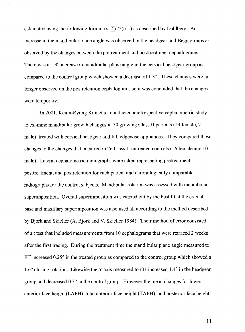calculated using the following formula  $s = \frac{1}{2}d/2(n-1)$  as described by Dahlberg. An increase in the mandibular plane angle was observed in the headgear and Begg groups as observed by the changes between the pretreatment and posttreatment cephalograms. There was a  $1.3^\circ$  increase in mandibular plane angle in the cervical headgear group as compared to the control group which showed a decrease of 1.3 °. These changes were no longer observed on the postretention cephalograms so it was concluded that the changes were temporary.

In 2001, Keum-Ryung Kim et al. conducted a retrospective cephalometric study to examine mandibular growth changes in 30 growing Class II patients (23 female, 7 male) treated with cervical headgear and full edgewise appliances. They compared those changes to the changes that occurred in 26 Class II untreated controls (16 female and 10 male). Lateral cephalometric radiographs were taken representing pretreatment, posttreatment, and postretention for each patient and chronologically comparable radiographs for the control subjects. Mandibular rotation was assessed with mandibular superimposition. Overall superimposition was carried out by the best fit at the cranial base and maxillary superimposition was also used all according to the method described by Bjork and Skieller (A. Bjork and V. Skieller 1984). Their method of error consisted of a t test that included measurements from 10 cephalograms that were retraced 2 weeks after the first tracing. During the treatment time the mandibular plane angle measured to FH increased 0.25° in the treated group as compared to the control group which showed a 1.6° closing rotation. Likewise theY axis measured to FH increased 1.4° in the headgear group and decreased 0.3° in the control group. However the mean changes for lower anterior face height (LAFH), total anterior face height (T AFH), and posterior face height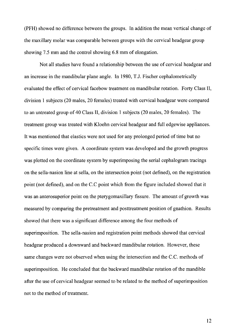(PFH) showed no difference between the groups. In addition the mean vertical change of the maxillary molar was comparable between groups with the cervical headgear group showing 7.5 mm and the control showing 6.8 mm of elongation.

Not all studies have found a relationship between the use of cervical headgear and an increase in the mandibular plane angle. In 1980, T.J. Fischer cephalometrically evaluated the effect of cervical facebow treatment on mandibular rotation. Forty Class II, division 1 subjects (20 males, 20 females) treated with cervical headgear were compared to an untreated group of 40 Class II, division 1 subjects (20 males, 20 females). The treatment group was treated with Kloehn cervical headgear and full edgewise appliances. It was mentioned that elastics were not used for any prolonged period of time but no specific times were given. A coordinate system was developed and the growth progress was plotted on the coordinate system by superimposing the serial cephalogram tracings on the sella-nasion line at sella, on the intersection point (not defined), on the registration point (not defined), and on the C.C point which from the figure included showed that it was an anterosuperior point on the pterygomaxillary fissure. The amount of growth was measured by comparing the pretreatment and posttreatment position of gnathion. Results showed that there was a significant difference among the four methods of superimposition. The sella-nasion and registration point methods showed that cervical headgear produced a downward and backward mandibular rotation. However, these same changes were not observed when using the intersection and the C.C. methods of superimposition. He concluded that the backward mandibular rotation of the mandible after the use of cervical headgear seemed to be related to the method of superimposition not to the method of treatment.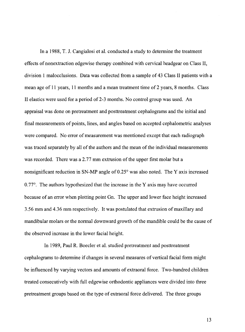In a 1988, T. J. Cangialosi et al. conducted a study to determine the treatment effects of nonextraction edgewise therapy combined with cervical headgear on Class II, division 1 malocclusions. Data was collected from a sample of 43 Class II patients with a mean age of 11 years, 11 months and a mean treatment time of 2 years, 8 months. Class II elastics were used for a period of  $2-3$  months. No control group was used. An appraisal was done on pretreatment and posttreatment cephalograms and the initial and final measurements of points, lines, and angles based on accepted cephalometric analyses were compared. No error of measurement was mentioned except that each radiograph was traced separately by all of the authors and the mean of the individual measurements was recorded. There was a 2.77 mm extrusion of the upper first molar but a nonsignificant reduction in SN-MP angle of  $0.25^{\circ}$  was also noted. The Y axis increased  $0.77^{\circ}$ . The authors hypothesized that the increase in the Y axis may have occurred because of an error when plotting point Gn. The upper and lower face height increased 3.56 mm and 4.36 mm respectively. It was postulated that extrusion of maxillary and mandibular molars or the normal downward growth of the mandible could be the cause of the observed increase in the lower facial height.

In 1989, Paul R. Boecler et al. studied pretreatment and posttreatment cephalograms to determine if changes in several measures of vertical facial form might be influenced by varying vectors and amounts of extraoral force. Two-hundred children treated consecutively with full edgewise orthodontic appliances were divided into three pretreatment groups based on the type of extraoral force delivered. The three groups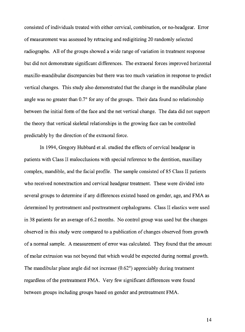consisted of individuals treated with either cervical, combination, or no-headgear. Error of measurement was assessed by retracing and redigitizing 20 randomly selected radiographs. All of the groups showed a wide range of variation in treatment response but did not demonstrate significant differences. The extraoral forces improved horizontal maxillo-mandibular discrepancies but there was too much variation in response to predict vertical changes. This study also demonstrated that the change in the mandibular plane angle was no greater than 0.7° for any of the groups. Their data found no relationship between the initial form of the face and the net vertical change. The data did not support the theory that vertical skeletal relationships in the growing face can be controlled predictably by the direction of the extraoral force.

In 1994, Gregory Hubbard et al. studied the effects of cervical headgear in patients with Class II malocclusions with special reference to the dentition, maxillary complex, mandible, and the facial profile. The sample consisted of 85 Class II patients who received nonextraction and cervical headgear treatment. These were divided into several groups to determine if any differences existed based on gender, age, and FMA as determined by pretreatment and posttreatment cephalograms. Class II elastics were used in 38 patients for an average of 6.2 months. No control group was used but the changes observed in this study were compared to a publication of changes observed from growth of a normal sample. A measurement of error was calculated. They found that the amount of molar extrusion was not beyond that which would be expected during normal growth. The mandibular plane angle did not increase  $(0.62^{\circ})$  appreciably during treatment regardless of the pretreatment FMA. Very few significant differences were found between groups including groups based on gender and pretreatment FMA.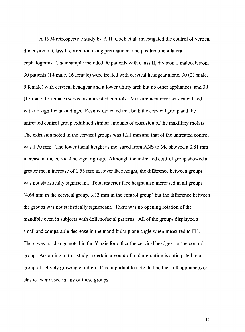A 1994 retrospective study by A.H. Cook et al. investigated the control of vertical dimension in Class II correction using pretreatment and posttreatment lateral cephalograms. Their sample included 90 patients with Class II, division 1 malocclusion, 30 patients (14 male, 16 female) were treated with cervical headgear alone, 30 (21 male, 9 female) with cervical headgear and a lower utility arch but no other appliances, and 30 (15 male, 15 female) served as untreated controls. Measurement error was calculated with no significant findings. Results indicated that both the cervical group and the untreated control group exhibited similar amounts of extrusion of the maxillary molars. The extrusion noted in the cervical groups was 1.21 mm and that of the untreated control was 1.30 mm. The lower facial height as measured from ANS to Me showed a 0.81 mm increase in the cervical headgear group. Although the untreated control group showed a greater mean increase of 1.55 mm in lower face height, the difference between groups was not statistically significant. Total anterior face height also increased in all groups (4.64 mm in the cervical group, 3.13 mm in the control group) but the difference between the groups was not statistically significant. There was no opening rotation of the mandible even in subjects with dolichofacial patterns. All of the groups displayed a small and comparable decrease in the mandibular plane angle when measured to FH. There was no change noted in the Y axis for either the cervical headgear or the control group. According to this study, a certain amount of molar eruption is anticipated in a group of actively growing children. It is important to note that neither full appliances or elastics were used in any of these groups.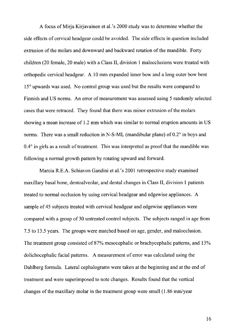A focus of Miria Kirjavainen et al.'s 2000 study was to determine whether the side effects of cervical headgear could be avoided. The side effects in question included extrusion of the molars and downward and backward rotation of the mandible. Forty children (20 female, 20 male) with a Class II, division 1 malocclusions were treated with orthopedic cervical headgear. A 10 mm expanded inner bow and a long outer bow bent 15° upwards was used. No control group was used but the results were compared to Finnish and US norms. An error of measurement was assessed using 5 randomly selected cases that were retraced. They found that there was minor extrusion of the molars showing a mean increase of 1.2 mm which was similar to normal eruption amounts in US norms. There was a small reduction in N-S-ML (mandibular plane) of  $0.2^{\circ}$  in boys and 0.4° in girls as a result of treatment. This was interpreted as proof that the mandible was following a normal growth pattern by rotating upward and forward.

Marcia R.E.A. Schiavon Gandini et al.'s 2001 retrospective study examined maxillary basal bone, dentoalveolar, and dental changes in Class II, division 1 patients treated to normal occlusion by using cervical headgear and edgewise appliances. A sample of 45 subjects treated with cervical headgear and edgewise appliances were compared with a group of 30 untreated control subjects. The subjects ranged in age from 7.5 to 13.5 years. The groups were matched based on age, gender, and malocclusion. The treatment group consisted of 87% mesocephalic or brachycephalic patterns, and 13% dolichocephalic facial patterns. A measurement of error was calculated using the Dahlberg formula. Lateral cephalograms were taken at the beginning and at the end of treatment and were superimposed to note changes. Results found that the vertical changes of the maxillary molar in the treatment group were small  $(1.86 \text{ mm/year})$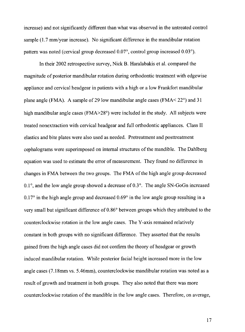increase) and not significantly different than what was observed in the untreated control sample  $(1.7 \text{ mm/year increase})$ . No significant difference in the mandibular rotation pattern was noted (cervical group decreased 0.07°, control group increased 0.03°).

In their 2002 retrospective survey, Nick B. Haralabakis et al. compared the magnitude of posterior mandibular rotation during orthodontic treatment with edgewise appliance and cervical headgear in patients with a high or a low Frankfort mandibular plane angle (FMA). A sample of 29 low mandibular angle cases (FMA $<$  22 $^{\circ}$ ) and 31 high mandibular angle cases (FMA>28°) were included in the study. All subjects were treated nonextraction with cervical headgear and full orthodontic appliances. Class II elastics and bite plates were also used as needed. Pretreatment and posttreatment cephalograms were superimposed on internal structures of the mandible. The Dahlberg equation was used to estimate the error of measurement. They found no difference in changes in FMA between the two groups. The FMA of the high angle group decreased  $0.1^\circ$ , and the low angle group showed a decrease of  $0.3^\circ$ . The angle SN-GoGn increased  $0.17^{\circ}$  in the high angle group and decreased  $0.69^{\circ}$  in the low angle group resulting in a very small but significant difference of0.86° between groups which they attributed to the counterclockwise rotation in the low angle cases. The Y -axis remained relatively constant in both groups with no significant difference. They asserted that the results gained from the high angle cases did not confirm the theory of headgear or growth induced mandibular rotation. While posterior facial height increased more in the low angle cases (7.18mm vs. 5.46mm), counterclockwise mandibular rotation was noted as a result of growth and treatment in both groups. They also noted that there was more counterclockwise rotation of the mandible in the low angle cases. Therefore, on average,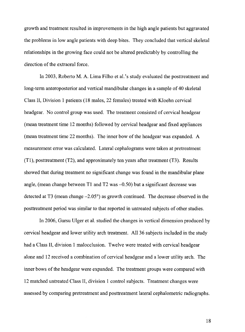growth and treatment resulted in improvements in the high angle patients but aggravated the problems in low angle patients with deep bites. They concluded that vertical skeletal relationships in the growing face could not be altered predictably by controlling the direction of the extraoral force.

In 2003, Roberto M.A. Lima Filho et al.'s study evaluated the posttreatment and long-term anteroposterior and vertical mandibular changes in a sample of 40 skeletal Class II, Division 1 patients ( 18 males, 22 females) treated with Kloehn cervical headgear. No control group was used. The treatment consisted of cervical headgear (mean treatment time 12 months) followed by cervical headgear and fixed appliances (mean treatment time 22 months). The inner bow of the headgear was expanded. A measurement error was calculated. Lateral cephalograms were taken at pretreatment (T1), posttreatment (T2), and approximately ten years after treatment (T3). Results showed that during treatment no significant change was found in the mandibular plane angle, (mean change between T1 and T2 was  $-0.50$ ) but a significant decrease was detected at T3 (mean change -2.05°) as growth continued. The decrease observed in the posttreatment period was similar to that reported in untreated subjects of other studies.

In 2006, Gursu Ulger et al. studied the changes in vertical dimension produced by cervical headgear and lower utility arch treatment. All 36 subjects included in the study had a Class II, division 1 malocclusion. Twelve were treated with cervical headgear alone and 12 received a combination of cervical headgear and a lower utility arch. The inner bows of the headgear were expanded. The treatment groups were compared with 12 matched untreated Class II, division 1 control subjects. Treatment changes were assessed by comparing pretreatment and posttreatment lateral cephalometric radiographs.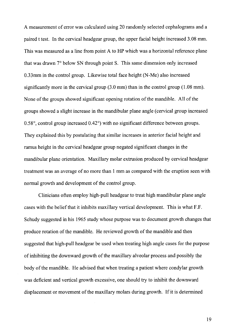A measurement of error was calculated using 20 randomly selected cephalograms and a paired t test. In the cervical headgear group, the upper facial height increased 3.08 mm. This was measured as a line from point A to HP which was a horizontal reference plane that was drawn 7° below SN through point S. This same dimension only increased 0.33mm in the control group. Likewise total face height (N-Me) also increased significantly more in the cervical group (3.0 mm) than in the control group (1.08 mm). None of the groups showed significant opening rotation of the mandible. All of the groups showed a slight increase in the mandibular plane angle (cervical group increased 0.58°, control group increased 0.42°) with no significant difference between groups. They explained this by postulating that similar increases in anterior facial height and ramus height in the cervical headgear group negated significant changes in the mandibular plane orientation. Maxillary molar extrusion produced by cervical headgear treatment was an average of no more than 1 mm as compared with the eruption seen with normal growth and development of the control group.

Clinicians often employ high-pull headgear to treat high mandibular plane angle cases with the belief that it inhibits maxillary vertical development. This is what F.F. Schudy suggested in his 1965 study whose purpose was to document growth changes that produce rotation of the mandible. He reviewed growth of the mandible and then suggested that high-pull headgear be used when treating high angle cases for the purpose of inhibiting the downward growth of the maxillary alveolar process and possibly the body of the mandible. He advised that when treating a patient where condylar growth was deficient and vertical growth excessive, one should try to inhibit the downward displacement or movement of the maxillary molars during growth. If it is determined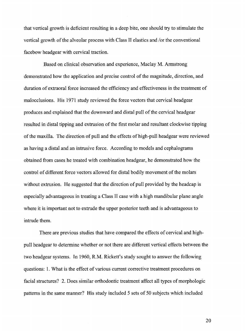that vertical growth is deficient resulting in a deep bite, one should try to stimulate the vertical growth of the alveolar process with Class II elastics and /or the conventional facebow headgear with cervical traction.

Based on clinical observation and experience, Maclay M. Armstrong demonstrated how the application and precise control of the magnitude, direction, and duration of extraoral force increased the efficiency and effectiveness in the treatment of malocclusions. His 1971 study reviewed the force vectors that cervical headgear produces and explained that the downward and distal pull of the cervical headgear resulted in distal tipping and extrusion of the first molar and resultant clockwise tipping of the maxilla. The direction of pull and the effects of high-pull headgear were reviewed as having a distal and an intrusive force. According to models and cephalograms obtained from cases he treated with combination headgear, he demonstrated how the control of different force vectors allowed for distal bodily movement of the molars without extrusion. He suggested that the direction of pull provided by the headcap is especially advantageous in treating a Class II case with a high mandibular plane angle where it is important not to extrude the upper posterior teeth and is advantageous to intrude them.

There are previous studies that have compared the effects of cervical and highpull headgear to determine whether or not there are different vertical effects between the two headgear systems. In 1960, R.M. Rickett's study sought to answer the following questions: 1. What is the effect of various current corrective treatment procedures on facial structures? 2. Does similar orthodontic treatment affect all types of morphologic patterns in the same manner? His study included 5 sets of 50 subjects which included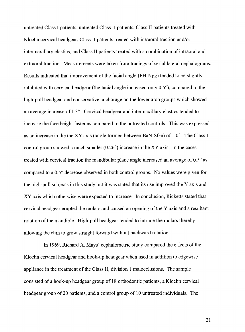untreated Class I patients, untreated Class II patients, Class II patients treated with Kloehn cervical headgear, Class II patients treated with intraoral traction and/or intermaxillary elastics, and Class II patients treated with a combination of intraoral and extraoral traction. Measurements were taken from tracings of serial lateral cephalograms. Results indicated that improvement of the facial angle (FH-Npg) tended to be slightly inhibited with cervical headgear (the facial angle increased only 0.5°), compared to the high-pull headgear and conservative anchorage on the lower arch groups which showed an average increase of  $1.3^\circ$ . Cervical headgear and intermaxillary elastics tended to increase the face height faster as compared to the untreated controls. This was expressed as an increase in the the XY axis (angle formed between BaN-SGn) of 1.0°. The Class II control group showed a much smaller (0.26°) increase in the XY axis. In the cases treated with cervical traction the mandibular plane angle increased an average of 0.5° as compared to a 0.5° decrease observed in both control groups. No values were given for the high-pull subjects in this study but it was stated that its use improved the Y axis and XY axis which otherwise were expected to increase. In conclusion, Ricketts stated that cervical headgear erupted the molars and caused an opening of the Y axis and a resultant rotation of the mandible. High-pull headgear tended to intrude the molars thereby allowing the chin to grow straight forward without backward rotation.

In 1969, Richard A. Mays' cephalometric study compared the effects of the Kloehn cervical headgear and hook-up headgear when used in addition to edgewise appliance in the treatment of the Class II, division 1 malocclusions. The sample consisted of a hook-up headgear group of 18 orthodontic patients, a Kloehn cervical headgear group of 20 patients, and a control group of 10 untreated individuals. The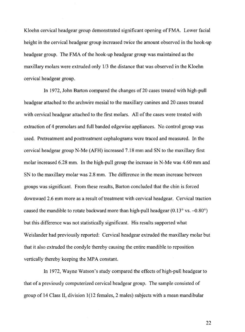Kloehn cervical headgear group demonstrated significant opening of FMA. Lower facial height in the cervical headgear group increased twice the amount observed in the hook-up headgear group. The FMA of the hook-up headgear group was maintained as the maxillary molars were extruded only 1/3 the distance that was observed in the Kloehn cervical headgear group.

In 1972, John Barton compared the changes of 20 cases treated with high-pull headgear attached to the archwire mesial to the maxillary canines and 20 cases treated with cervical headgear attached to the first molars. All of the cases were treated with extraction of 4 premolars and full banded edgewise appliances. No control group was used. Pretreatment and posttreatment cephalograms were traced and measured. In the cervical headgear group N-Me (AFH) increased 7.18 mm and SN to the maxillary first molar increased  $6.28$  mm. In the high-pull group the increase in N-Me was  $4.60$  mm and SN to the maxillary molar was 2.8 mm. The difference in the mean increase between groups was significant. From these results, Barton concluded that the chin is forced downward 2.6 mm more as a result of treatment with cervical headgear. Cervical traction caused the mandible to rotate backward more than high-pull headgear  $(0.13^{\circ} \text{ vs. } -0.80^{\circ})$ but this difference was not statistically significant. His results supported what Weislander had previously reported: Cervical headgear extruded the maxillary molar but that it also extruded the condyle thereby causing the entire mandible to reposition vertically thereby keeping the MPA constant.

In 1972, Wayne Watson's study compared the effects of high-pull headgear to that of a previously computerized cervical headgear group. The sample consisted of group of 14 Class II, division 1(12 females, 2 males) subjects with a mean mandibular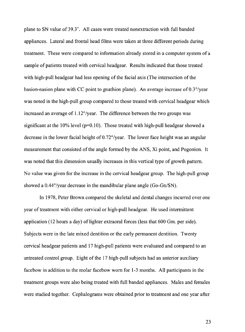plane to SN value of39.3°. All cases were treated nonextraction with full banded appliances. Lateral and frontal head films were taken at three different periods during treatment. These were compared to information already stored in a computer system of a sample of patients treated with cervical headgear. Results indicated that those treated with high-pull headgear had less opening of the facial axis (The intersection of the basion-nasion plane with CC point to gnathion plane). An average increase of0.3°/year was noted in the high-pull group compared to those treated with cervical headgear which increased an average of 1.12°/year. The difference between the two groups was significant at the  $10\%$  level ( $p=0.10$ ). Those treated with high-pull headgear showed a decrease in the lower facial height of  $0.72^{\circ}/year$ . The lower face height was an angular measurement that consisted of the angle formed by the ANS, Xi point, and Pogonion. It was noted that this dimension usually increases in this vertical type of growth pattern. No value was given for the increase in the cervical headgear group. The high-pull group showed a 0.44°/year decrease in the mandibular plane angle (Go-Gn/SN).

In 1978, Peter Brown compared the skeletal and dental changes incurred over one year of treatment with either cervical or high-pull headgear. He used intermittent application (12 hours a day) of lighter extraoral forces (less that  $600$  Gm. per side). Subjects were in the late mixed dentition or the early permanent dentition. Twenty cervical headgear patients and 17 high-pull patients were evaluated and compared to an untreated control group. Eight of the 17 high-pull subjects had an anterior auxiliary facebow in addition to the molar facebow worn for 1-3 months. All participants in the treatment groups were also being treated with full banded appliances. Males and females were studied together. Cephalograms were obtained prior to treatment and one year after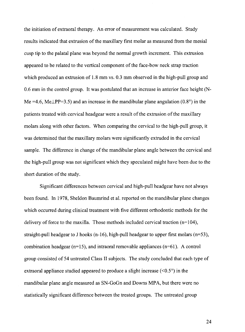the initiation of extraoral therapy. An error of measurement was calculated. Study results indicated that extrusion of the maxillary first molar as measured from the mesial cusp tip to the palatal plane was beyond the normal growth increment. This extrusion appeared to be related to the vertical component of the face-bow neck strap traction which produced an extrusion of 1.8 mm vs. 0.3 mm observed in the high-pull group and 0.6 mm in the control group. It was postulated that an increase in anterior face height (N-Me =4.6, Me $\perp$ PP=3.5) and an increase in the mandibular plane angulation (0.8°) in the patients treated with cervical headgear were a result of the extrusion of the maxillary molars along with other factors. When comparing the cervical to the high-pull group, it was determined that the maxillary molars were significantly extruded in the cervical sample. The difference in change of the mandibular plane angle between the cervical and the high-pull group was not significant which they speculated might have been due to the short duration of the study.

Significant differences between cervical and high-pull headgear have not always been found. In 1978, Sheldon Baumrind et al. reported on the mandibular plane changes which occurred during clinical treatment with five different orthodontic methods for the delivery of force to the maxilla. Those methods included cervical traction  $(n=104)$ , straight-pull headgear to J hooks  $(n-16)$ , high-pull headgear to upper first molars  $(n=53)$ , combination headgear  $(n=15)$ , and intraoral removable appliances  $(n=61)$ . A control group consisted of 54 untreated Class II subjects. The study concluded that each type of extraoral appliance studied appeared to produce a slight increase  $(<0.5^{\circ}$ ) in the mandibular plane angle measured as SN-GoGn and Downs MPA, but there were no statistically significant difference between the treated groups. The untreated group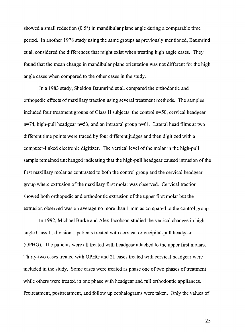showed a small reduction (0.5°) in mandibular plane angle during a comparable time period. In another 1978 study using the same groups as previously mentioned, Baumrind et al. considered the differences that might exist when treating high angle cases. They found that the mean change in mandibular plane orientation was not different for the high angle cases when compared to the other cases in the study.

In a 1983 study, Sheldon Baumrind et al. compared the orthodontic and orthopedic effects of maxillary traction using several treatment methods. The samples included four treatment groups of Class II subjects: the control n=50, cervical headgear  $n=74$ , high-pull headgear  $n=53$ , and an intraoral group  $n=61$ . Lateral head films at two different time points were traced by four different judges and then digitized with a computer-linked electronic digitizer. The vertical level of the molar in the high-pull sample remained unchanged indicating that the high-pull headgear caused intrusion of the first maxillary molar as contrasted to both the control group and the cervical headgear group where extrusion of the maxillary first molar was observed. Cervical traction showed both orthopedic and orthodontic extrusion of the upper first molar but the extrusion observed was on average no more than 1 mm as compared to the control group.

In 1992, Michael Burke and Alex Jacobson studied the vertical changes in high angle Class II, division 1 patients treated with cervical or occipital-pull headgear (OPHG). The patients were all treated with headgear attached to the upper first molars. Thirty-two cases treated with OPHG and 21 cases treated with cervical headgear were included in the study. Some cases were treated as phase one of two phases of treatment while others were treated in one phase with headgear and full orthodontic appliances. Pretreatment, posttreatment, and follow up cephalograms were taken. Only the values of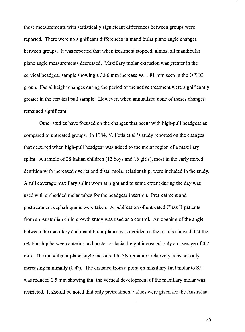those measurements with statistically significant differences between groups were reported. There were no significant differences in mandibular plane angle changes between groups. It was reported that when treatment stopped, almost all mandibular plane angle measurements decreased. Maxillary molar extrusion was greater in the cervical headgear sample showing a 3.86 mm increase vs. 1.81 mm seen in the OPHG group. Facial height changes during the period of the active treatment were significantly greater in the cervical **pull** sample. However, when annualized none of theses changes remained significant.

Other studies have focused on the changes that occur with high-pull headgear as compared to untreated groups. In 1984, V. Fotis et al.'s study reported on the changes that occurred when high-pull headgear was added to the molar region of a maxillary splint. A sample of 28 Italian children (12 boys and 16 girls), most in the early mixed dentition with increased overjet and distal molar relationship, were included in the study. A full coverage maxillary splint worn at night and to some extent during the day was used with embedded molar tubes for the headgear insertion. Pretreatment and posttreatment cephalograms were taken. A publication of untreated Class II patients from an Australian child growth study was used as a control. An opening of the angle between the maxillary and mandibular planes was avoided as the results showed that the relationship between anterior and posterior facial height increased only an average of 0.2 mm. The mandibular plane angle measured to SN remained relatively constant only increasing minimally  $(0.4^{\circ})$ . The distance from a point on maxillary first molar to SN was reduced 0.5 mm showing that the vertical development of the maxillary molar was restricted. It should be noted that only pretreatment values were given for the Australian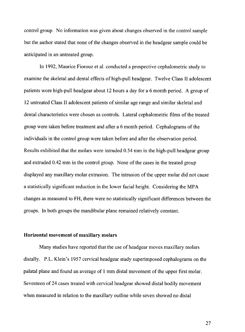control group. No information was given about changes observed in the control sample but the author stated that none of the changes observed in the headgear sample could be anticipated in an untreated group.

In 1992, Maurice Fiorouz et al. conducted a prospective cephalometric study to examine the skeletal and dental effects ofhigh-pull headgear. Twelve Class II adolescent patients wore high-pull headgear about 12 hours a day for a 6 month period. A group of 12 untreated Class II adolescent patients of similar age range and similar skeletal and dental characteristics were chosen as controls. Lateral cephalometric films of the treated group were taken before treatment and after a 6 month period. Cephalograms of the individuals in the control group were taken before and after the observation period. Results exhibited that the molars were intruded 0.54 mm in the high-pull headgear group and extruded 0.42 mm in the control group. None of the cases in the treated group displayed any maxillary molar extrusion. The intrusion of the upper molar did not cause a statistically significant reduction in the lower facial height. Considering the MPA changes as measured to FH, there were no statistically significant differences between the groups. In both groups the mandibular plane remained relatively constant.

#### **Horizontal movement of maxillary molars**

Many studies have reported that the use of headgear moves maxillary molars distally. P.L. Klein's 1957 cervical headgear study superimposed cephalograms on the palatal plane and found an average of 1 mm distal movement of the upper first molar. Seventeen of 24 cases treated with cervical headgear showed distal bodily movement when measured in relation to the maxillary outline while seven showed no distal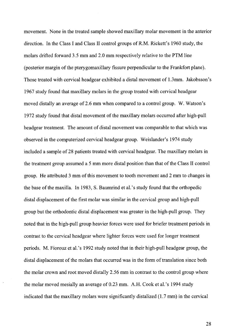movement. None in the treated sample showed maxillary molar movement in the anterior direction. In the Class I and Class II control groups ofR.M. Rickett's 1960 study, the molars drifted forward 3.5 mm and 2.0 mm respectively relative to the PTM line (posterior margin of the pterygomaxillary fissure perpendicular to the Frankfort plane). Those treated with cervical headgear exhibited a distal movement of 1.3mm. Jakobsson's 1967 study found that maxillary molars in the group treated with cervical headgear moved distally an average of 2.6 mm when compared to a control group. W. Watson's 1972 study found that distal movement of the maxillary molars occurred after high-pull headgear treatment. The amount of distal movement was comparable to that which was observed in the computerized cervical headgear group. Weis1ander's 1974 study included a sample of 28 patients treated with cervical headgear. The maxillary molars in the treatment group assumed a 5 mm more distal position than that of the Class II control group. He attributed 3 mm of this movement to tooth movement and 2 mm to changes in the base ofthe maxilla. In 1983, S. Baumrind et al.'s study found that the orthopedic distal displacement of the first molar was similar in the cervical group and high-pull group but the orthodontic distal displacement was greater in the high-pull group. They noted that in the high-pull group heavier forces were used for briefer treatment periods in contrast to the cervical headgear where lighter forces were used for longer treatment periods. M. Fiorouz et al. 's 1992 study noted that in their high-pull headgear group, the distal displacement of the molars that occurred was in the form of translation since both the molar crown and root moved distally 2.56 mm in contrast to the control group where the molar moved mesially an average of 0.23 mm. A.H. Cook et al.'s 1994 study indicated that the maxillary molars were significantly distalized (1.7 mm) in the cervical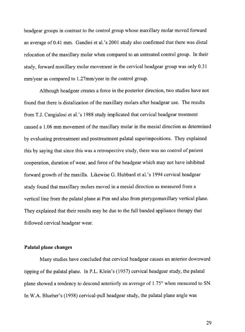headgear groups in contrast to the control group whose maxillary molar moved forward an average of0.41 mm. Gandini et al.'s 2001 study also confirmed that there was distal relocation of the maxillary molar when compared to an untreated control group. In their study, forward maxillary molar movement in the cervical headgear group was only 0.31 mm/year as compared to 1.27mm/year in the control group.

Although headgear creates a force in the posterior direction, two studies have not found that there is distalization of the maxillary molars after headgear use. The results from T.J. Cangialosi et al.'s 1988 study implicated that cervical headgear treatment caused a 1.06 mm movement of the maxillary molar in the mesial direction as determined by evaluating pretreatment and posttreatment palatal superimpositions. They explained this by saying that since this was a retrospective study, there was no control of patient cooperation, duration of wear, and force of the headgear which may not have inhibited forward growth of the maxilla. Likewise G. Hubbard et al.'s 1994 cervical headgear study found that maxillary molars moved in a mesial direction as measured from a vertical line from the palatal plane at Ptm and also from pterygomaxillary vertical plane. They explained that their results may be due to the full banded appliance therapy that followed cervical headgear wear.

#### **Palatal plane changes**

Many studies have concluded that cervical headgear causes an anterior downward tipping of the palatal plane. In P.L. Klein's (1957) cervical headgear study, the palatal plane showed a tendency to descend anteriorly an average of 1.75° when measured to SN. In W.A. Blueher's (1958) cervical-pull headgear study, the palatal plane angle was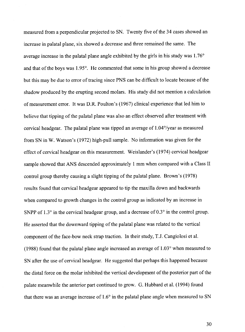measured from a perpendicular projected to SN. Twenty five of the 34 cases showed an increase in palatal plane, six showed a decrease and three remained the same. The average increase in the palatal plane angle exhibited by the girls in his study was 1.76° and that of the boys was 1.95°. He commented that some in his group showed a decrease but this may be due to error of tracing since PNS can be difficult to locate because of the shadow produced by the erupting second molars. His study did not mention a calculation of measurement error. It was D.R. Poulton's (1967) clinical experience that led him to believe that tipping of the palatal plane was also an effect observed after treatment with cervical headgear. The palatal plane was tipped an average of 1.04°/year as measured from SN in W. Watson's (1972) high-pull sample. No information was given for the effect of cervical headgear on this measurement. Weislander's (1974) cervical headgear sample showed that ANS descended approximately 1 mm when compared with a Class II control group thereby causing a slight tipping of the palatal plane. Brown's (1978) results found that cervical headgear appeared to tip the maxilla down and backwards when compared to growth changes in the control group as indicated by an increase in SNPP of  $1.3^{\circ}$  in the cervical headgear group, and a decrease of  $0.3^{\circ}$  in the control group. He asserted that the downward tipping of the palatal plane was related to the vertical component of the face-bow neck strap traction. In their study, T.J. Cangiolosi et al. (1988) found that the palatal plane angle increased an average of 1.03° when measured to SN after the use of cervical headgear. He suggested that perhaps this happened because the distal force on the molar inhibited the vertical development of the posterior part of the palate meanwhile the anterior part continued to grow. G. Hubbard et al. (1994) found that there was an average increase of 1.6° in the palatal plane angle when measured to SN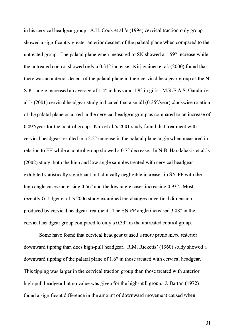in his cervical headgear group. A.H. Cook et al.'s (1994) cervical traction only group showed a significantly greater anterior descent of the palatal plane when compared to the untreated group. The palatal plane when measured to SN showed a 1.59° increase while the untreated control showed only a 0.31° increase. Kirjavainen et al. (2000) found that there was an anterior decent of the palatal plane in their cervical headgear group as theN-S-PL angle increased an average of  $1.4^{\circ}$  in boys and  $1.9^{\circ}$  in girls. M.R.E.A.S. Gandini et al.'s (2001) cervical headgear study indicated that a small (0.25°/year) clockwise rotation of the palatal plane occurred in the cervical headgear group as compared to an increase of 0.09°/year for the control group. Kim et al.'s 2001 study found that treatment with cervical headgear resulted in a 2.2° increase in the palatal plane angle when measured in relation to FH while a control group showed a 0.7° decrease. In N.B. Haralabakis et al.'s (2002) study, both the high and low angle samples treated with cervical headgear exhibited statistically significant but clinically negligible increases in SN-PP with the high angle cases increasing 0.56° and the low angle cases increasing 0.93°. Most recently G. Ulger et al. 's 2006 study examined the changes in vertical dimension produced by cervical headgear treatment. The SN-PP angle increased 3.08° in the cervical headgear group compared to only a 0.33° in the untreated control group.

Some have found that cervical headgear caused a more pronounced anterior downward tipping than does high-pull headgear. R.M. Ricketts' (1960) study showed a downward tipping of the palatal plane of 1.6° in those treated with cervical headgear. This tipping was larger in the cervical traction group than those treated with anterior high-pull headgear but no value was given for the high-pull group. J. Barton (1972) found a significant difference in the amount of downward movement caused when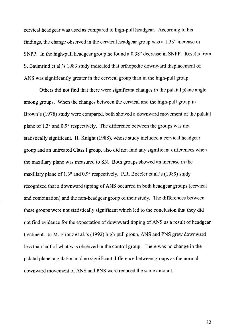cervical headgear was used as compared to high-pull headgear. According to his findings, the change observed in the cervical headgear group was a 1.33° increase in SNPP. In the high-pull headgear group he found a 0.38° decrease in SNPP. Results from S. Baumrind et al.'s 1983 study indicated that orthopedic downward displacement of ANS was significantly greater in the cervical group than in the high-pull group.

Others did not find that there were significant changes in the palatal plane angle among groups. When the changes between the cervical and the high-pull group in Brown's (1978) study were compared, both showed a downward movement of the palatal plane of 1.3° and 0.9° respectively. The difference between the groups was not statistically significant. H. Knight (1988), whose study included a cervical headgear group and an untreated Class I group, also did not find any significant differences when the maxillary plane was measured to SN. Both groups showed an increase in the maxillary plane of  $1.3^{\circ}$  and  $0.9^{\circ}$  respectively. P.R. Boecler et al.'s (1989) study recognized that a downward tipping of ANS occurred in both headgear groups (cervical and combination) and the non-headgear group of their study. The differences between these groups were not statistically significant which led to the conclusion that they did not find evidence for the expectation of downward tipping of ANS as a result of headgear treatment. In M. Firouz et al.'s (1992) high-pull group, ANS and PNS grew downward less than half of what was observed in the control group. There was no change in the palatal plane angulation and no significant difference between groups as the normal downward movement of ANS and PNS were reduced the same amount.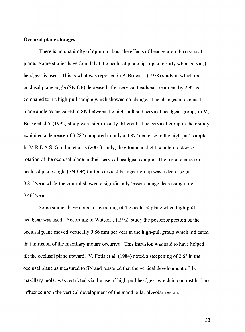# **Occlusal plane changes**

There is no unanimity of opinion about the effects of headgear on the occlusal plane. Some studies have found that the occlusal plane tips up anteriorly when cervical headgear is used. This is what was reported in P. Brown's (1978) study in which the occlusal plane angle (SN.OP) decreased after cervical headgear treatment by 2.9° as compared to his high-pull sample which showed no change. The changes in occlusal plane angle as measured to SN between the high-pull and cervical headgear groups in M. Burke et al.'s (1992) study were significantly different. The cervical group in their study exhibited a decrease of 3.28° compared to only a 0.87° decrease in the high-pull sample. In M.R.E.A.S. Gandini et al.'s (2001) study, they found a slight counterclockwise rotation of the occlusal plane in their cervical headgear sample. The mean change in occlusal plane angle (SN-OP) for the cervical headgear group was a decrease of 0.81°/year while the control showed a significantly lesser change decreasing only 0.46°/year.

Some studies have noted a steepening of the occlusal plane when high-pull headgear was used. According to Watson's (1972) study the posterior portion of the occlusal plane moved vertically 0.86 mm per year in the high-pull group which indicated that intrusion of the maxillary molars occurred. This intrusion was said to have helped tilt the occlusal plane upward. V. Fotis et al. (1984) noted a steepening of  $2.6^{\circ}$  in the occlusal plane as measured to SN and reasoned that the vertical development of the maxillary molar was restricted via the use of high-pull headgear which in contrast had no influence upon the vertical development of the mandibular alveolar region.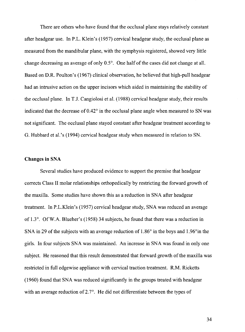There are others who have found that the occlusal plane stays relatively constant after headgear use. In P.L. Klein's (1957) cervical headgear study, the occlusal plane as measured from the mandibular plane, with the symphysis registered, showed very little change decreasing an average of only 0.5°. One half of the cases did not change at all. Based on D.R. Poulton's (1967) clinical observation, he believed that high-pull headgear had an intrusive action on the upper incisors which aided in maintaining the stability of the occlusal plane. In T.J. Cangiolosi et al. (1988) cervical headgear study, their results indicated that the decrease of 0.42° in the occlusal plane angle when measured to SN was not significant. The occlusal plane stayed constant after headgear treatment according to G. Hubbard et al.'s (1994) cervical headgear study when measured in relation to SN.

### **Changes in** SNA

Several studies have produced evidence to support the premise that headgear corrects Class II molar relationships orthopedically by restricting the forward growth of the maxilla. Some studies have shown this as a reduction in SNA after headgear treatment. In P.L.Klein's (1957) cervical headgear study, SNA was reduced an average of 1.3°. OfW.A. Blueher's (1958) 34 subjects, he found that there was a reduction in SNA in 29 of the subjects with an average reduction of 1.86° in the boys and 1.96°in the girls. In four subjects SNA was maintained. An increase in SNA was found in only one subject. He reasoned that this result demonstrated that forward growth of the maxilla was restricted in full edgewise appliance with cervical traction treatment. R.M. Ricketts (1960) found that SNA was reduced significantly in the groups treated with headgear with an average reduction of 2.7°. He did not differentiate between the types of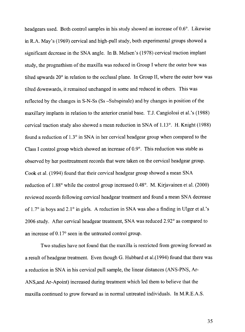headgears used. Both control samples in his study showed an increase of  $0.6^\circ$ . Likewise in R.A. May's (1969) cervical and high-pull study, both experimental groups showed a significant decrease in the SNA angle. In B. Melsen's (1978) cervical traction implant study, the prognathism of the maxilla was reduced in Group I where the outer bow was tilted upwards 20° in relation to the occlusal plane. In Group II, where the outer bow was tilted downwards, it remained unchanged in some and reduced in others. This was reflected by the changes in S-N-Ss (Ss -Subspinale) and by changes in position of the maxillary implants in relation to the anterior cranial base. T.J. Cangiolosi et al.'s (1988) cervical traction study also showed a mean reduction in SNA of 1.13°. H. Knight (1988) found a reduction of 1.3° in SNA in her cervical headgear group when compared to the Class I control group which showed an increase of 0.9°. This reduction was stable as observed by her posttreatment records that were taken on the cervical headgear group. Cook et al. (1994) found that their cervical headgear group showed a mean SNA reduction of 1.88° while the control group increased 0.48°. M. Kirjavainen et al. (2000) reviewed records following cervical headgear treatment and found a mean SNA decrease of 1.7° in boys and 2.1° in girls. A reduction in SNA was also a finding in Ulger et al. 's 2006 study. After cervical headgear treatment, SNA was reduced 2.92° as compared to an increase of 0.17° seen in the untreated control group.

Two studies have not found that the maxilla is restricted from growing forward as a result ofheadgear treatment. Even though G. Hubbard et al.(1994) found that there was a reduction in SNA in his cervical pull sample, the linear distances (ANS-PNS, Ar-ANS,and Ar-Apoint) increased during treatment which led them to believe that the maxilla continued to grow forward as in normal untreated individuals. In M.R.E.A.S.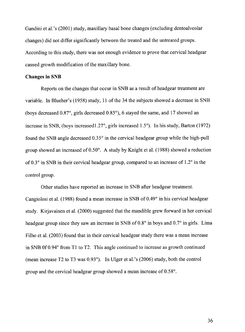Gandini et al.'s (2001) study, maxillary basal bone changes (excluding dentoalveolar changes) did not differ significantly between the treated and the untreated groups. According to this study, there was not enough evidence to prove that cervical headgear caused growth modification of the maxillary bone.

# **Changes in SNB**

Reports on the changes that occur in SNB as a result of headgear treatment are variable. In Blueher's (1958) study, 11 of the 34 the subjects showed a decrease in SNB (boys decreased 0.87°, girls decreased 0.85°), 6 stayed the same, and 17 showed an increase in SNB, (boys increased1.27°, girls increased 1.5°). In his study, Barton (1972) found the SNB angle decreased 0.35° in the cervical headgear group while the high-pull group showed an increased of  $0.50^{\circ}$ . A study by Knight et al. (1988) showed a reduction of0.3° in SNB in their cervical headgear group, compared to an increase of 1.2° in the control group.

Other studies have reported an increase in SNB after headgear treatment. Cangiolosi et al. (1988) found a mean increase in SNB of 0.49° in his cervical headgear study. Kirjavainen et al. (2000) suggested that the mandible grew forward in her cervical headgear group since they saw an increase in SNB of  $0.8^\circ$  in boys and  $0.7^\circ$  in girls. Lima Filho et al. (2003) found that in their cervical headgear study there was a mean increase in SNB Of0.94° from Tl to T2. This angle continued to increase as growth continued (mean increase T2 to T3 was 0.93°). In Ulger et al.'s (2006) study, both the control group and the cervical headgear group showed a mean increase of 0.58°.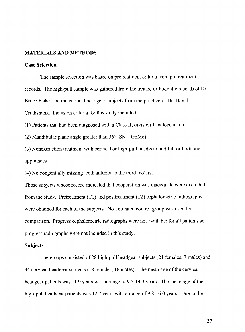#### MATERIALS AND METHODS

# Case Selection

The sample selection was based on pretreatment criteria from pretreatment records. The high-pull sample was gathered from the treated orthodontic records of Dr. Bruce Fiske, and the cervical headgear subjects from the practice of Dr. David Cruikshank. Inclusion criteria for this study included:

(1) Patients that had been diagnosed with a Class II, division 1 malocclusion.

(2) Mandibular plane angle greater than  $36^{\circ}$  (SN – GoMe).

(3) Nonextraction treatment with cervical or high-pull headgear and full orthodontic appliances.

(4) No congenitally missing teeth anterior to the third molars.

Those subjects whose record indicated that cooperation was inadequate were excluded from the study. Pretreatment (T1) and posttreatment (T2) cephalometric radiographs were obtained for each of the subjects. No untreated control group was used for comparison. Progress cephalometric radiographs were not available for all patients so progress radiographs were not included in this study.

#### **Subjects**

The groups consisted of28 high-pull headgear subjects (21 females, 7 males) and 34 cervical headgear subjects (18 females, 16 males). The mean age of the cervical headgear patients was 11.9 years with a range of 9.5-14.3 years. The mean age of the high-pull headgear patients was 12.7 years with a range of 9.8-16.0 years. Due to the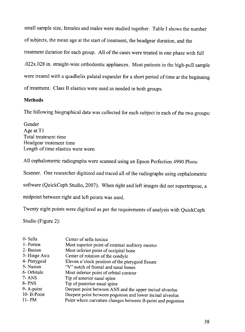small sample size, females and males were studied together. Table I shows the number of subjects, the mean age at the start of treatment, the headgear duration, and the treatment duration for each group. All of the cases were treated in one phase with full .022x.028 in. straight-wire orthodontic appliances. Most patients in the high-pull sample were treated with a quadhelix palatal expander for a short period of time at the beginning of treatment. Class II elastics were used as needed in both groups.

## **Methods**

The following biographical data was collected for each subject in each of the two groups:

Gender Age at Tl Total treatment time Headgear treatment time Length of time elastics were worn

All cephalometric radiographs were scanned using an Epson Perfection 4990 Photo

Scanner. One researcher digitized and traced all of the radiographs using cephalometric

software (QuickCeph Studio, 2007). When right and left images did not superimpose, a

midpoint between right and left points was used.

Twenty eight points were digitized as per the requirements of analysis with QuickCeph

Studio (Figure 2):

| 0- Sella      | Center of sella turcica                                    |
|---------------|------------------------------------------------------------|
| 1- Porion     | Most superior point of external auditory meatus            |
| 2- Basion     | Most inferior point of occipital bone                      |
| 3- Hinge Axis | Center of rotation of the condyle                          |
| 4- Pterygoid  | Eleven o'clock position of the pterygoid fissure           |
| 5- Nasion     | "V" notch of frontal and nasal bones                       |
| 6- Orbitale   | Most inferior point of orbital contour                     |
| 7- ANS        | Tip of anterior nasal spine                                |
| 8- PNS        | Tip of posterior nasal spine                               |
| 9-A-point     | Deepest point between ANS and the upper incisal alveolus   |
| 10-B-Point    | Deepest point between pogonion and lower incisal alveolus  |
| 11-PM         | Point where curvature changes between B-point and pogonion |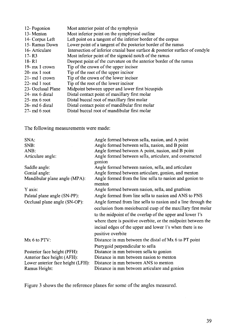| 12- Pogonion       | Most anterior point of the symphysis                                            |
|--------------------|---------------------------------------------------------------------------------|
| 13-Menton          | Most inferior point on the symphyseal outline                                   |
| 14- Corpus Left    | Left point on a tangent of the inferior border of the corpus                    |
| 15- Ramus Down     | Lower point of a tangent of the posterior border of the ramus                   |
| 16- Articulare     | Intersection of inferior cranial base surface $\&$ posterior surface of condyle |
| $17 - R3$          | Most inferior point of the sigmoid notch of the ramus                           |
| 18 - R1            | Deepest point of the curvature on the anterior border of the ramus              |
| 19- $mx1$ crown    | Tip of the crown of the upper incisor                                           |
| $20-$ mx 1 root    | Tip of the root of the upper incisor                                            |
| $21$ - md 1 crown  | Tip of the crown of the lower incisor                                           |
| $22$ - md 1 root   | Tip of the root of the lower incisor                                            |
| 23- Occlusal Plane | Midpoint between upper and lower first bicuspids                                |
| 24- mx 6 distal    | Distal contact point of maxillary first molar                                   |
| $25 - mx 6$ root   | Distal buccal root of maxillary first molar                                     |
| 26- md 6 distal    | Distal contact point of mandibular first molar                                  |
| $27-$ md 6 root    | Distal buccal root of mandibular first molar                                    |

The following measurements were made:

| SNA:                              | Angle formed between sella, nasion, and A point                                                                                                                                                                                                                                                                          |
|-----------------------------------|--------------------------------------------------------------------------------------------------------------------------------------------------------------------------------------------------------------------------------------------------------------------------------------------------------------------------|
| SNB:                              | Angle formed between sella, nasion, and B point                                                                                                                                                                                                                                                                          |
| ANB:                              | Angle formed between A point, nasion, and B point                                                                                                                                                                                                                                                                        |
| Articulare angle:                 | Angle formed between sella, articulare, and constructed<br>gonion                                                                                                                                                                                                                                                        |
| Saddle angle:                     | Angle formed between nasion, sella, and articulare                                                                                                                                                                                                                                                                       |
| Gonial angle:                     | Angle formed between articulare, gonion, and menton                                                                                                                                                                                                                                                                      |
| Mandibular plane angle (MPA):     | Angle formed from the line sella to nasion and gonion to<br>menton                                                                                                                                                                                                                                                       |
| Y axis:                           | Angle formed between nasion, sella, and gnathion                                                                                                                                                                                                                                                                         |
| Palatal plane angle (SN-PP):      | Angle formed from line sella to nasion and ANS to PNS                                                                                                                                                                                                                                                                    |
| Occlusal plane angle (SN-OP):     | Angle formed from line sella to nasion and a line through the<br>occlusion from mesiobuccal cusp of the maxillary first molar<br>to the midpoint of the overlap of the upper and lower 1's<br>where there is positive overbite, or the midpoint between the<br>incisal edges of the upper and lower 1's when there is no |
|                                   | positive overbite                                                                                                                                                                                                                                                                                                        |
| Mx 6 to PTV:                      | Distance in mm between the distal of Mx 6 to PT point<br>Pterygoid perpendicular to sella                                                                                                                                                                                                                                |
| Posterior face height (PFH):      | Distance in mm between sella to gonion                                                                                                                                                                                                                                                                                   |
| Anterior face height (AFH):       | Distance in mm between nasion to menton                                                                                                                                                                                                                                                                                  |
| Lower anterior face height (LFH): | Distance in mm between ANS to menton                                                                                                                                                                                                                                                                                     |
| Ramus Height:                     | Distance in mm between articulare and gonion                                                                                                                                                                                                                                                                             |

Figure 3 shows the the reference planes for some of the angles measured.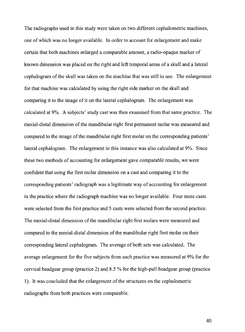The radiographs used in this study were taken on two different cephalometric machines, one of which was no longer available. In order to account for enlargement and make certain that both machines enlarged a comparable amount, a radio-opaque marker of known dimension was placed on the right and left temporal areas of a skull and a lateral cephalogram of the skull was taken on the machine that was still in use. The enlargement for that machine was calculated by using the right side marker on the skull and comparing it to the image of it on the lateral cephalogram. The enlargement was calculated at 9%. A subjects' study cast was then examined from that same practice. The mesial-distal dimension of the mandibular right first permanent molar was measured and compared to the image of the mandibular right first molar on the corresponding patients' lateral cephalogram. The enlargement in this instance was also calculated at 9%. Since these two methods of accounting for enlargement gave comparable results, we were confident that using the first molar dimension on a cast and comparing it to the corresponding patients' radiograph was a legitimate way of accounting for enlargement in the practice where the radiograph machine was no longer available. Four more casts were selected from the first practice and 5 casts were selected from the second practice. The mesial-distal dimension of the mandibular right first molars were measured and compared to the mesial-distal dimension of the mandibular right first molar on their corresponding lateral cephalogram. The average of both sets was calculated. The average enlargement for the five subjects from each practice was measured at 9% for the cervical headgear group (practice 2) and  $8.5\%$  for the high-pull headgear group (practice 1). It was concluded that the enlargement ofthe structures on the cephalometric radiographs from both practices were comparable.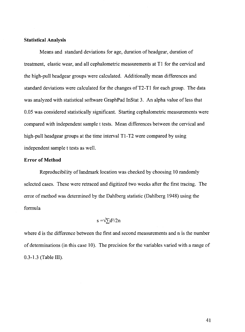# **Statistical Analysis**

Means and standard deviations for age, duration of headgear, duration of treatment, elastic wear, and all cephalometric measurements at Tl for the cervical and the high-pull headgear groups were calculated. Additionally mean differences and standard deviations were calculated for the changes of T2-T1 for each group. The data was analyzed with statistical software GraphPad InStat 3. An alpha value of less that 0.05 was considered statistically significant. Starting cephalometric measurements were compared with independent sample t tests. Mean differences between the cervical and high-pull headgear groups at the time interval T1-T2 were compared by using independent sample t tests as well.

# **Error of Method**

Reproducibility of landmark location was checked by choosing 10 randomly selected cases. These were retraced and digitized two weeks after the first tracing. The error of method was determined by the Dahlberg statistic (Dahlberg 1948) using the formula

# $s = \sqrt{\sum d^2/2n}$

where d is the difference between the first and second measurements and n is the number of determinations (in this case 10). The precision for the variables varied with a range of 0.3-1.3 (Table III).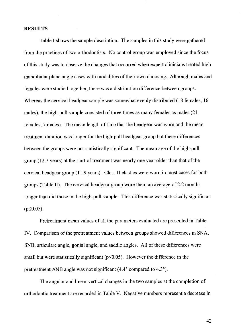# **RESULTS**

Table I shows the sample description. The samples in this study were gathered from the practices of two orthodontists. No control group was employed since the focus of this study was to observe the changes that occurred when expert clinicians treated high mandibular plane angle cases with modalities of their own choosing. Although males and females were studied together, there was a distribution difference between groups. Whereas the cervical headgear sample was somewhat evenly distributed (18 females, 16 males), the high-pull sample consisted of three times as many females as males (21 females, 7 males). The mean length of time that the headgear was worn and the mean treatment duration was longer for the high-pull headgear group but these differences between the groups were not statistically significant. The mean age of the high-pull group (12.7 years) at the start of treatment was nearly one year older than that of the cervical headgear group (11.9 years). Class II elastics were worn in most cases for both groups (Table II). The cervical headgear group wore them an average of 2.2 months longer than did those in the high-pull sample. This difference was statistically significant  $(p \le 0.05)$ .

Pretreatment mean values of all the parameters evaluated are presented in Table IV. Comparison of the pretreatment values between groups showed differences in SNA, SNB, articulare angle, gonial angle, and saddle angles. All of these differences were small but were statistically significant ( $p \le 0.05$ ). However the difference in the pretreatment ANB angle was not significant (4.4° compared to 4.3°).

The angular and linear vertical changes in the two samples at the completion of orthodontic treatment are recorded in Table V. Negative numbers represent a decrease in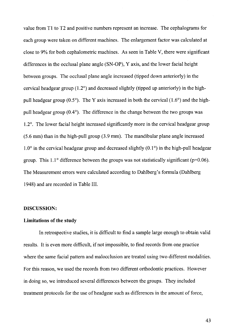value from Tl to T2 and positive numbers represent an increase. The cephalograms for each group were taken on different machines. The enlargement factor was calculated at close to 9% for both cephalometric machines. As seen in Table V, there were significant differences in the occlusal plane angle (SN-OP), Y axis, and the lower facial height between groups. The occlusal plane angle increased (tipped down anteriorly) in the cervical headgear group (1.2°) and decreased slightly (tipped up anteriorly) in the highpull headgear group  $(0.5^{\circ})$ . The Y axis increased in both the cervical  $(1.6^{\circ})$  and the highpull headgear group  $(0.4^{\circ})$ . The difference in the change between the two groups was 1.2°. The lower facial height increased significantly more in the cervical headgear group (5.6 mm) than in the high-pull group (3.9 mm). The mandibular plane angle increased  $1.0^{\circ}$  in the cervical headgear group and decreased slightly (0.1 $^{\circ}$ ) in the high-pull headgear group. This  $1.1^{\circ}$  difference between the groups was not statistically significant (p=0.06). The Measurement errors were calculated according to Dahlberg's formula (Dahlberg 1948) and are recorded in Table III.

#### **DISCUSSION:**

#### **Limitations of the study**

In retrospective studies, it is difficult to find a sample large enough to obtain valid results. It is even more difficult, if not impossible, to find records from one practice where the same facial pattern and malocclusion are treated using two different modalities. For this reason, we used the records from two different orthodontic practices. However in doing so, we introduced several differences between the groups. They included treatment protocols for the use of headgear such as differences in the amount of force,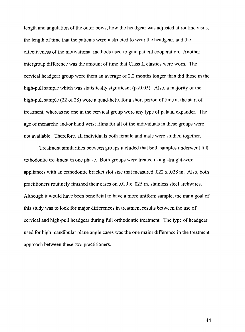length and angulation of the outer bows, how the headgear was adjusted at routine visits, the length of time that the patients were instructed to wear the headgear, and the effectiveness of the motivational methods used to gain patient cooperation. Another intergroup difference was the amount of time that Class II elastics were worn. The cervical headgear group wore them an average of 2.2 months longer than did those in the high-pull sample which was statistically significant  $(p<0.05)$ . Also, a majority of the high-pull sample (22 of 28) wore a quad-helix for a short period of time at the start of treatment, whereas no one in the cervical group wore any type of palatal expander. The age of menarche and/or hand wrist films for all of the individuals in these groups were not available. Therefore, all individuals both female and male were studied together.

Treatment similarities between groups included that both samples underwent full orthodontic treatment in one phase. Both groups were treated using straight-wire appliances with an orthodontic bracket slot size that measured .022 x .028 in. Also, both practitioners routinely finished their cases on .019 x .025 in. stainless steel archwires. Although it would have been beneficial to have a more uniform sample, the main goal of this study was to look for major differences in treatment results between the use of cervical and high-pull headgear during full orthodontic treatment. The type of headgear used for high mandibular plane angle cases was the one major difference in the treatment approach between these two practitioners.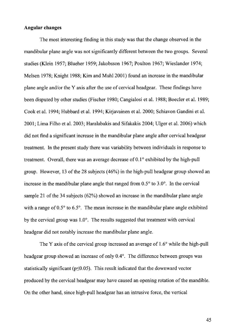# **Angular changes**

The most interesting finding in this study was that the change observed in the mandibular plane angle was not significantly different between the two groups. Several studies (Klein 1957; Blueher 1959; Jakobsson 1967; Poulton 1967; Wieslander 1974; Melsen 1978; Knight 1988; Kim and Muhl2001) found an increase in the mandibular plane angle and/or the Y axis after the use of cervical headgear. These findings have been disputed by other studies (Fischer 1980; Cangialosi et al. 1988; Boecler et al. 1989; Cook et al. 1994; Hubbard et al. 1994; Kirjavainen et al. 2000; Schiavon Gandini et al. 2001; Lima Filho et al. 2003; Haralabakis and Sifakakis 2004; Ulger et al. 2006) which did not find a significant increase in the mandibular plane angle after cervical headgear treatment. In the present study there was variability between individuals in response to treatment. Overall, there was an average decrease of 0.1° exhibited by the high-pull group. However, 13 ofthe 28 subjects (46%) in the high-pull headgear group showed an increase in the mandibular plane angle that ranged from  $0.5^{\circ}$  to  $3.0^{\circ}$ . In the cervical sample 21 of the 34 subjects (62%) showed an increase in the mandibular plane angle with a range of  $0.5^{\circ}$  to  $6.5^{\circ}$ . The mean increase in the mandibular plane angle exhibited by the cervical group was 1.0°. The results suggested that treatment with cervical headgear did not notably increase the mandibular plane angle.

The Y axis of the cervical group increased an average of 1.6° while the high-pull headgear group showed an increase of only 0.4°. The difference between groups was statistically significant ( $p \le 0.05$ ). This result indicated that the downward vector produced by the cervical headgear may have caused an opening rotation of the mandible. On the other hand, since high-pull headgear has an intrusive force, the vertical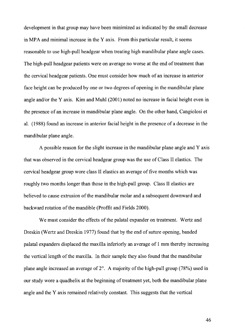development in that group may have been minimized as indicated by the small decrease in MPA and minimal increase in the  $Y$  axis. From this particular result, it seems reasonable to use high-pull headgear when treating high mandibular plane angle cases. The high-pull headgear patients were on average no worse at the end of treatment than the cervical headgear patients. One must consider how much of an increase in anterior face height can be produced by one or two degrees of opening in the mandibular plane angle and/or theY axis. Kim and Muhl (2001) noted no increase in facial height even in the presence of an increase in mandibular plane angle. On the other hand, Cangiolosi et al. (1988) found an increase in anterior facial height in the presence of a decrease in the mandibular plane angle.

A possible reason for the slight increase in the mandibular plane angle and Y axis that was observed in the cervical headgear group was the use of Class II elastics. The cervical headgear group wore class II elastics an average of five months which was roughly two months longer than those in the high-pull group. Class II elastics are believed to cause extrusion of the mandibular molar and a subsequent downward and backward rotation of the mandible (Proffit and Fields 2000).

We must consider the effects of the palatal expander on treatment. Wertz and Dreskin (Wertz and Dreskin 1977) found that by the end of suture opening, banded palatal expanders displaced the maxilla inferiorly an average of 1 mm thereby increasing the vertical length of the maxilla. In their sample they also found that the mandibular plane angle increased an average of  $2^{\circ}$ . A majority of the high-pull group (78%) used in our study wore a quadhelix at the beginning of treatment yet, both the mandibular plane angle and the Y axis remained relatively constant. This suggests that the vertical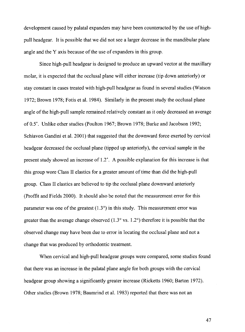development caused by palatal expanders may have been counteracted by the use of highpull headgear. It is possible that we did not see a larger decrease in the mandibular plane angle and the Y axis because of the use of expanders in this group.

Since high-pull headgear is designed to produce an upward vector at the maxillary molar, it is expected that the occlusal plane will either increase (tip down anteriorly) or stay constant in cases treated with high-pull headgear as found in several studies (Watson 1972; Brown 1978; Fotis et al. 1984). Similarly in the present study the occlusal plane angle of the high-pull sample remained relatively constant as it only decreased an average of0.5°. Unlike other studies (Poulton 1967; Brown 1978; Burke and Jacobson 1992; Schiavon Gandini et al. 2001) that suggested that the downward force exerted by cervical headgear decreased the occlusal plane (tipped up anteriorly), the cervical sample in the present study showed an increase of 1.2°. A possible explanation for this increase is that this group wore Class II elastics for a greater amount of time than did the high-pull group. Class II elastics are believed to tip the occlusal plane downward anteriorly (Proffit and Fields 2000). It should also be noted that the measurement error for this parameter was one of the greatest  $(1.3^{\circ})$  in this study. This measurement error was greater than the average change observed  $(1.3^{\circ} \text{ vs. } 1.2^{\circ})$  therefore it is possible that the observed change may have been due to error in locating the occlusal plane and not a change that was produced by orthodontic treatment.

When cervical and high-pull headgear groups were compared, some studies found that there was an increase in the palatal plane angle for both groups with the cervical headgear group showing a significantly greater increase (Ricketts 1960; Barton 1972). Other studies (Brown 1978; Baumrind et al. 1983) reported that there was not an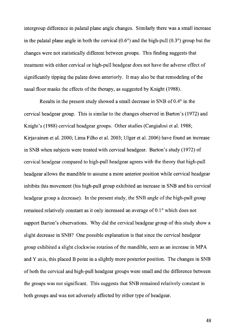intergroup difference in palatal plane angle changes. Similarly there was a small increase in the palatal plane angle in both the cervical  $(0.6^{\circ})$  and the high-pull  $(0.3^{\circ})$  group but the changes were not statistically different between groups. This finding suggests that treatment with either cervical or high-pull headgear does not have the adverse effect of significantly tipping the palate down anteriorly. It may also be that remodeling of the nasal floor masks the effects of the therapy, as suggested by Knight (1988).

Results in the present study showed a small decrease in SNB of 0.4° in the cervical headgear group. This is similar to the changes observed in Barton's (1972) and Knight's (1988) cervical headgear groups. Other studies (Cangialosi et al. 1988; Kirjavainen et al. 2000; Lima Filho et al. 2003; Ulger et al. 2006) have found an increase in SNB when subjects were treated with cervical headgear. Barton's study (1972) of cervical headgear compared to high-pull headgear agrees with the theory that high-pull headgear allows the mandible to assume a more anterior position while cervical headgear inhibits this movement (his high-pull group exhibited an increase in SNB and his cervical headgear group a decrease). In the present study, the SNB angle of the high-pull group remained relatively constant as it only increased an average of 0.1° which does not support Barton's observations. Why did the cervical headgear group of this study show a slight decrease in SNB? One possible explanation is that since the cervical headgear group exhibited a slight clockwise rotation of the mandible, seen as an increase in MP A and Y axis, this placed B point in a slightly more posterior position. The changes in SNB of both the cervical and high-pull headgear groups were small and the difference between the groups was not significant. This suggests that SNB remained relatively constant in both groups and was not adversely affected by either type of headgear.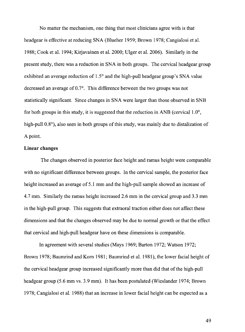No matter the mechanism, one thing that most clinicians agree with is that headgear is effective at reducing SNA (Blueher 1959; Brown 1978; Cangialosi et al. 1988; Cook et al. 1994; Kirjavainen et al. 2000; Ulger et al. 2006). Similarly in the present study, there was a reduction in SNA in both groups. The cervical headgear group exhibited an average reduction of 1.5° and the high-pull headgear group's SNA value decreased an average of 0.7°. This difference between the two groups was not statistically significant. Since changes in SNA were larger than those observed in SNB for both groups in this study, it is suggested that the reduction in ANB (cervical  $1.0^{\circ}$ , high-pull  $0.8^{\circ}$ ), also seen in both groups of this study, was mainly due to distalization of A point.

#### **Linear changes**

The changes observed in posterior face height and ramus height were comparable with no significant difference between groups. In the cervical sample, the posterior face height increased an average of 5.1 mm and the high-pull sample showed an increase of 4.7 mm. Similarly the ramus height increased 2.6 mm in the cervical group and 3.3 mm in the high-pull group. This suggests that extraoral traction either does not affect these dimensions and that the changes observed may be due to normal growth or that the effect that cervical and high-pull headgear have on these dimensions is comparable.

In agreement with several studies (Mays 1969; Barton 1972; Watson 1972; Brown 1978; Baumrind and Kom 1981; Baumrind et al. 1981), the lower facial height of the cervical headgear group increased significantly more than did that of the high-pull headgear group (5.6 mm vs. 3.9 mm). It has been postulated (Wieslander 1974; Brown 1978; Cangialosi et al. 1988) that an increase in lower facial height can be expected as a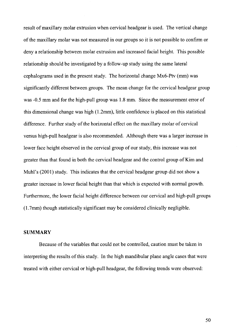result of maxillary molar extrusion when cervical headgear is used. The vertical change of the maxillary molar was not measured in our groups so it is not possible to confirm or deny a relationship between molar extrusion and increased facial height. This possible relationship should be investigated by a follow-up study using the same lateral cephalograms used in the present study. The horizontal change Mx6-Ptv (mm) was significantly different between groups. The mean change for the cervical headgear group was -0.5 mm and for the high-pull group was 1.8 mm. Since the measurement error of this dimensional change was high (1.2mm), little confidence is placed on this statistical difference. Further study of the horizontal effect on the maxillary molar of cervical versus high-pull headgear is also recommended. Although there was a larger increase in lower face height observed in the cervical group of our study, this increase was not greater than that found in both the cervical headgear and the control group of Kim and Muhl's (2001) study. This indicates that the cervical headgear group did not show a greater increase in lower facial height than that which is expected with normal growth. Furthermore, the lower facial height difference between our cervical and high-pull groups (1.7mm) though statistically significant may be considered clinically negligible.

# **SUMMARY**

Because of the variables that could not be controlled, caution must be taken in interpreting the results of this study. In the high mandibular plane angle cases that were treated with either cervical or high-pull headgear, the following trends were observed: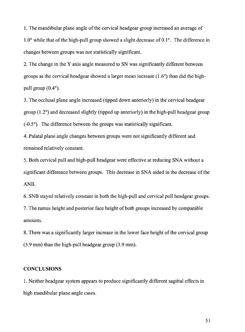**1.** The mandibular plane angle of the cervical headgear group increased an average of  $1.0^{\circ}$  while that of the high-pull group showed a slight decrease of 0.1 $^{\circ}$ . The difference in changes between groups was not statistically significant.

2. The change in the Y axis angle measured to SN was significantly different between groups as the cervical headgear showed a larger mean increase  $(1.6^{\circ})$  than did the highpull group (0.4°).

3. The occlusal plane angle increased (tipped down anteriorly) in the cervical headgear group (1.2°) and decreased slightly (tipped up anteriorly) in the high-pull headgear group  $(-0.5)$ . The difference between the groups was statistically significant.

4. Palatal plane angle changes between groups were not significantly different and remained relatively constant.

5. Both cervical pull and high-pull headgear were effective at reducing SNA without a significant difference between groups. This decrease in SNA aided in the decrease of the ANB.

6. SNB stayed relatively constant in both the high-pull and cervical pull headgear groups. 7. The ramus height and posterior face height of both groups increased by comparable amounts.

8. There was a significantly larger increase in the lower face height of the cervical group (5.9 mm) than the high-pull headgear group (3.9 mm).

# **CONCLUSIONS**

1. Neither headgear system appears to produce significantly different sagittal effects in high mandibular plane angle cases.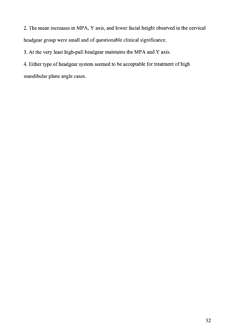2. The mean increases in MPA, Y axis, and lower facial height observed in the cervical headgear group were small and of questionable clinical significance.

3. At the very least high-pull headgear maintains the MPA and Y axis.

4. Either type of headgear system seemed to be acceptable for treatment of high mandibular plane angle cases.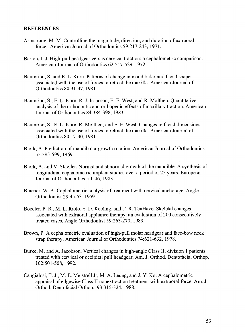# **REFERENCES**

- Armstrong, M. M. Controlling the magnitude, direction, and duration of extraoral force. American Journal of Orthodontics 59:217-243, 1971.
- Barton, J. **J.** High-pull headgear versus cervical traction: a cephalometric comparison. American Journal of Orthodontics 62:517-529, 1972.
- Baumrind, S. and E. L. Korn. Patterns of change in mandibular and facial shape associated with the use of forces to retract the maxilla. American Journal of Orthodontics 80:31-47, 1981.
- Baumrind, S., E. L. Korn, R. J. Isaacson, E. E. West, and R. Molthen. Quantitative analysis of the orthodontic and orthopedic effects of maxillary traction. American Journal of Orthodontics 84:384-398, 1983.
- Baumrind, S., E. L. Korn, R. Molthen, and E. E. West. Changes in facial dimensions associated with the use of forces to retract the maxilla. American Journal of Orthodontics 80:17-30, 1981.
- Bjork, A. Prediction of mandibular growth rotation. American Journal of Orthodontics 55:585-599, 1969.
- Bjork, A. and V. Skieller. Normal and abnormal growth of the mandible. A synthesis of longitudinal cephalometric implant studies over a period of 25 years. European Journal of Orthodontics 5:1-46, 1983.
- Blueher, W. A. Cephalometric analysis of treatment with cervical anchorage. Angle Orthodontist 29:45-53, 1959.
- Boeder, P.R., M. L. Riolo, S.D. Keeling, and T. R. TenHave. Skeletal changes associated with extraoral appliance therapy: an evaluation of 200 consecutively treated cases. Angle Orthodontist 59:263-270, 1989.
- Brown, **P.** A cephalometric evaluation of high-pull molar headgear and face-bow neck strap therapy. American Journal of Orthodontics 74:621-632, 1978.
- Burke, M. and A. Jacobson. Vertical changes in high-angle Class II, division **1** patients treated with cervical or occipital pull headgear. Am. J. Orthod. Dentofacial Orthop. 102:501-508, 1992.
- Cangialosi, T. J., M. E. Meistrell Jr, M.A. Leung, and J. Y. Ko. A cephalometric appraisal of edgewise Class II nonextraction treatment with extraoral force. Am. J. Orthod. Dentofacial Orthop. 93:315-324, 1988.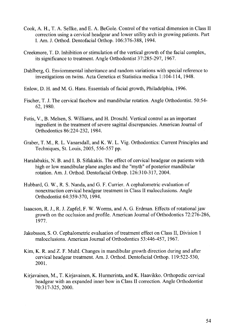- Cook, A. H., T. A. Sellke, and E. A. BeGole. Control of the vertical dimension in Class II correction using a cervical headgear and lower utility arch in growing patients. Part I. Am. J. Orthod. Dentofacial Orthop. 106:376-388, 1994.
- Creekmore, T. D. Inhibition or stimulation of the vertical growth of the facial complex, its significance to treatment. Angle Orthodontist 37:285-297, 1967.
- Dahlberg, G. Enviornmental inheritance and random variations with special reference to investigations on twins. Acta Genetica et Statistica medica 1:104-114, 1948.
- Enlow, D. H. and M.G. Hans. Essentials of facial growth, Philadelphia, 1996.
- Fischer, T. J. The cervical facebow and mandibular rotation. Angle Orthodontist. 50:54- 62, 1980.
- Fotis, V., B. Melsen, S. Williams, and H. Droschl. Vertical control as an important ingredient in the treatment of severe sagittal discrepancies. American Journal of Orthodontics 86:224-232, 1984.
- Graber, T. M., R. L. Vanarsdall, and K. W. L. Vig. Orthodontics: Current Principles and Techniques, St. Louis, 2005, 556-557 pp.
- Haralabakis, N. B. and I. B. Sifakakis. The effect of cervical headgear on patients with high or low mandibular plane angles and the "myth" of posterior mandibular rotation. Am. J. Orthod. Dentofacial Orthop. 126:310-317, 2004.
- Hubbard, G. W., R. S. Nanda, and G. F. Currier. A cephalometric evaluation of nonextraction cervical headgear treatment in Class II malocclusions. Angle Orthodontist 64:359-370, 1994.
- Isaacson, R. J., R. J. Zapfel, F. W. Worms, and A. G. Erdman. Effects of rotational jaw growth on the occlusion and profile. American Journal of Orthodontics 72:276-286, 1977.
- Jakobsson, S. 0. Cephalometric evaluation of treatment effect on Class II, Division 1 malocclusions. American Journal of Orthodontics 53:446-457, 1967.
- Kim, K. R. and Z. F. Muhl. Changes in mandibular growth direction during and after cervical headgear treatment. Am. J. Orthod. Dentofacial Orthop. 119:522-530, 2001.
- Kirjavainen, M., T. Kirjavainen, K. Hurmerinta, and K. Haavikko. Orthopedic cervical headgear with an expanded inner bow in Class II correction. Angle Orthodontist 70:317-325, 2000.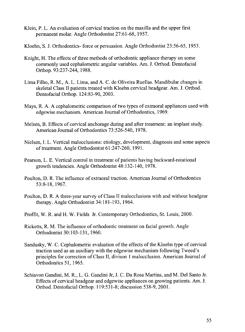- Klein, P. L. An evaluation of cervical traction on the maxilla and the upper first permanent molar. Angle Orthodontist 27:61-68, 1957.
- Kloehn, S. J. Orthodontics- force or persuasion. Angle Orthodontist 23:56-65, 1953.
- Knight, H. The effects of three methods of orthodontic appliance therapy on some commonly used cephalometric angular variables. Am. J. Orthod. Dentofacial Orthop. 93:237-244, 1988.
- Lima Filho, R. M., A. L. Lima, and A. C. de Oliveira Ruellas. Mandibular changes in skeletal Class II patients treated with Kloehn cervical headgear. Am. J. Orthod. Dentofacial Orthop. 124:83-90, 2003.
- Mays, R. A. A cephalometric comparison of two types of extraoral appliances used with edgewise mechanism. American Journal of Orthodontics, 1969.
- Melsen, B. Effects of cervical anchorage during and after treatment: an implant study. American Journal of Orthodontics 73:526-540, 1978.
- Nielsen, I. L. Vertical malocclusions: etiology, development, diagnosis and some aspects of treatment. Angle Orthodontist 61:247-260, 1991.
- Pearson, L. E. Vertical control in treatment of patients having backward-rotational growth tendencies. Angle Orthodontist 48:132-140, 1978.
- Poulton, D. R. The influence of extraoral traction. American Journal of Orthodontics 53:8-18, 1967.
- Poulton, D. R. A three-year survey of Class II malocclusions with and without headgear therapy. Angle Orthodontist 34:181-193, 1964.
- Proffit, W. R. and H. W. Fields Jr. Contemporary Orthodontics, St. Louis, 2000.
- Ricketts, R. M. The influence of orthodontic treatment on facial growth. Angle Orthodontist 30:103-131, 1960.
- Sandusky, W. C. Cephalometric evaluation of the effects of the Kloehn type of cervical traction used as an auxiliary with the edgewise mechanism following Tweed's principles for correction of Class II, divison 1 malocclusion. American Journal of Orthodontics 51, 1965.
- Schiavon Gandini, M. R., L. G. Gandini Jr, J. C. Da Rosa Martins, and M. Del Santo Jr. Effects of cervical headgear and edgewise appliances on growing patients. Am. J. Orthod. Dentofacial Orthop. 119:531-8; discussion 538-9,2001.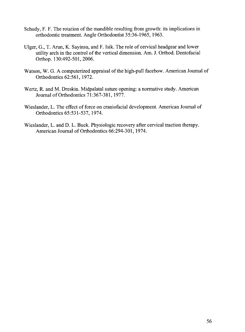- Schudy, F. F. The rotation of the mandible resulting from growth: its implications in orthodontic treatment. Angle Orthodontist 35:36-1965, 1963.
- Ulger, G., T. Arun, K. Sayinsu, and F. Isik. The role of cervical headgear and lower utility arch in the control of the vertical dimension. Am. J. Orthod. Dentofacial Orthop. 130:492-501, 2006.
- Watson, W. G. A computerized appraisal of the high-pull facebow. American Journal of Orthodontics 62:561, 1972.
- Wertz, R. and M. Dreskin. Midpalatal suture opening: a normative study. American Journal ofOrthodontics 71:367-381, 1977.
- Wieslander, L. The effect of force on craniofacial development. American Journal of Orthodontics 65:531-537, 1974.
- Wieslander, L. and D. L. Buck. Physiologic recovery after cervical traction therapy. American Journal of Orthodontics 66:294-301, 1974.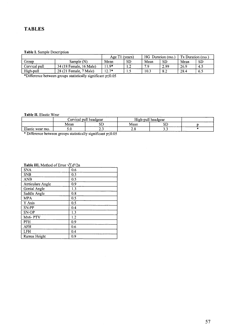# **TABLES**

#### **Table I.** Sample Description

|               |                         | Age i   | (vears)   | HG.  | Duration (mo.) | Tx Duration (mo.) |     |
|---------------|-------------------------|---------|-----------|------|----------------|-------------------|-----|
| Group         | Sample (N)              | Mean    | <b>SD</b> | Mean | SD             | Mean              | SD  |
| Cervical pull | 34 (18 Female, 16 Male) | 1 Q*    | .         | ה ד  | 2.99           | 26.9              |     |
| High-pull     | 28 (21 Female, 7 Male)  | $12.7*$ | .         | 10.3 |                | 28.4              | 6.3 |

\*Difference between groups statistically significant  $p \le 0.05$ 

#### **Table II.** Elastic Wear

|                  |      | Jervical pull headgear | ---<br>High-pull |                                                                                                                                                                                                                                             |  |
|------------------|------|------------------------|------------------|---------------------------------------------------------------------------------------------------------------------------------------------------------------------------------------------------------------------------------------------|--|
|                  | Mean | SĽ                     | Mean             | SГ                                                                                                                                                                                                                                          |  |
| Elastic wear mo. | J.V  | ر                      | ن ہے             | - -<br><u>in the contract of the contract of the contract of the contract of the contract of the contract of the contract of the contract of the contract of the contract of the contract of the contract of the contract of the contra</u> |  |

\* Difference between groups statistically significant  $p \le 0.05$ 

| 1401 - 1111 McCHOU OI EIIOI | ,, u , |
|-----------------------------|--------|
| <b>SNA</b>                  | 0.6    |
| <b>SNB</b>                  | 0.3    |
| <b>ANB</b>                  | 0.5    |
| Atrticulare Angle           | 0.9    |
| Gonial Angle                | 1.3    |
| Saddle Angle                | 0.8    |
| <b>MPA</b>                  | 0.5    |
| Y Axis                      | 0.5    |
| SN-PP                       | 0.4    |
| SN-OP                       | 1.3    |
| Mx6-PTV                     | 1.2    |
| <b>PFH</b>                  | 0.9    |
| AFH                         | 0.6    |
| <b>LFH</b>                  | 0.4    |
| Ramus Height                | 0.9    |

#### **Table III.** Method of Error  $\sqrt{2}d^2/2n$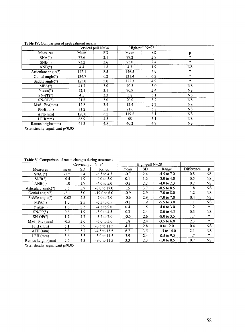| There I is comparison or pretreament meant |       |                    |       |                |           |
|--------------------------------------------|-------|--------------------|-------|----------------|-----------|
|                                            |       | Cervical pull N=34 |       | High-pull N=28 |           |
| <b>Measures</b>                            | Mean  | SD.                | Mean  | SD.            | D         |
| SNA(°)                                     | 77.6  | 2.1                | 79.2  | 2.9            | $\star$   |
| SNB(°)                                     | 73.2  | 2.6                | 75.0  | 2.4            | $\star$   |
| ANB(°)                                     | 4.4   | 1.8                | 4.3   | 1.9            | NS.       |
| Articulare angle(°)                        | 142.1 | 8.5                | 146.5 | 6.9            | $\ast$    |
| Gonial angle(°)                            | 134.7 | 6.2                | 131.4 | 6.2            | $\star$   |
| Saddle angle(°)                            | 125.0 | 5.0                | 122.3 | 4.9            | $\ast$    |
| MPA(°)                                     | 41.7  | 3.0                | 40.3  | 3.0            | NS.       |
| Y axis (°)                                 | 72.1  | 3.1                | 70.9  | 2.4            | NS.       |
| $SN-PP(°)$                                 | 4.5   | 3.3                | 5.8   | 3.1            | NS.       |
| $SN-OP(°)$                                 | 21.8  | 3.0                | 20.0  | 3.2            | <b>NS</b> |
| $Mx6 - Ptv(mm)$                            | 12.8  | 3.4                | 12.4  | 2.7            | NS.       |
| PFH(mm)                                    | 71.2  | 5.3                | 71.6  | 5.8            | NS.       |
| AFH(mm)                                    | 120.0 | 6.2                | 119.8 | 8.1            | NS.       |
| LFH(mm)                                    | 66.9  | 4.5                | 68    | 5.1            | <b>NS</b> |
| Ramus height(mm)                           | 41.3  | 4.8                | 40.2  | 4.7            | <b>NS</b> |

Table IV, Comparison of pretreatment means

\*Statistically significant p:50.05

Table V. Comparison of mean changes during treatment

|                           |         | Cervical pull N=34 |                 |        | High-pull $N=28$ |                 |            |               |
|---------------------------|---------|--------------------|-----------------|--------|------------------|-----------------|------------|---------------|
| Measures                  | mean    | SD                 | Range           | mean   | SD               | Range           | Difference | p             |
| $SNA(^{\circ})$           | $-1.5$  | 2.4                | $-6.5$ to 4.5   | $-0.7$ | 2.4              | $-4.5$ to $7.0$ | 0.8        | <b>NS</b>     |
| SNB(°)                    | $-0.4$  | 1.9                | $-4.0$ to 5.0   | 0.1    | 1.6              | $-3.0$ to 4.0   | 0.5        | NS.           |
| ANB(°)                    | $-1.0$  | 1.7                | $-4.0$ to 5.0   | $-0.8$ | 2.2              | $-4.0$ to 2.3   | 0.2        | NS.           |
| Articulare angle(°)       | 3.3     | 5.7                | $-8.0$ to 17.0  | 1.5    | 3.7              | $-8.5$ to 8.5   | 1.8        | <b>NS</b>     |
| Gonial angle( $\degree$ ) | $-2.1$  | 5.0                | $-19.0$ to 6.0  | $-0.9$ | 2.9              | $-7.0$ to $8.0$ | 1.2        | <b>NS</b>     |
| Saddle angle(°)           | $-0.02$ | 2.5                | $-7.0$ to $7.0$ | $-0.6$ | 2.9              | $-7.0$ to $7.0$ | 0.4        | <b>NS</b>     |
| MPA(°)                    | $1.0\,$ | 2.5                | $-6.5$ to 6.5   | $-0.1$ | 1.9              | $-5.5$ to 3.0   | 1.1        | <b>NS</b>     |
| Y $axis(°)$               | 1.6     | 2.3                | $-4.5$ to 9.0   | 0.4    | 1.5              | $-4.0$ to 3.0   | 1.2        | $\ast$        |
| $SN-PP(°)$                | 0.6     | 1.9                | $-3.0$ to 4.5   | 0.3    | 2.4              | $-8.0$ to 4.5   | 0.3        | <b>NS</b>     |
| $SN-OP(°)$                | 1.2     | 2.7                | $-3.5$ to $7.0$ | $-0.5$ | 2.6              | $-8.0$ to 3.5   | 1.7        | $\mathcal{R}$ |
| $Mx6 - Ptv$ (mm)          | $-0.5$  | 2.6                | $-7.0$ to 5.0   | 1.8    | 2.4              | $-3.5$ to 6.0   | 2.3        | $\ast$        |
| PFH (mm)                  | 5.1     | 3.9                | $-6.5$ to 11.5  | 4.7    | 2.8              | $0$ to $12.0$   | 0.4        | NS.           |
| $AFH$ (mm)                | 8.3     | 5.2                | $-4.5$ to 18.5  | 6.2    | 3.5              | $-1.5$ to 14.0  | 2.1        | NS.           |
| 5.6<br>$LFH$ (mm)         |         | 3.3                | $-3.0$ to 11.5  | 3.9    | 2.4              | $-0.5$ to 9.5   | 1.7        | $\pm$         |
| Ramus height (mm)         | 2.6     | 4.3                | $-9.0$ to 11.5  | 3.3    | 2.3              | $-1.0$ to 8.5   | 0.7        | <b>NS</b>     |

\*Statistically significant  $p \le 0.05$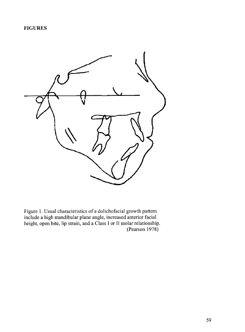

Figure 1. Usual characteristics of a dolichofacial growth pattern include a high mandibular plane angle, increased anterior facial height, open bite, lip strain, and a Class I or II molar relationship. (Pearson 1978)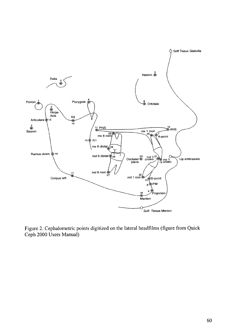

Figure 2. Cephalometric points digitized on the lateral headfilms (figure from Quick Ceph 2000 Users Manual)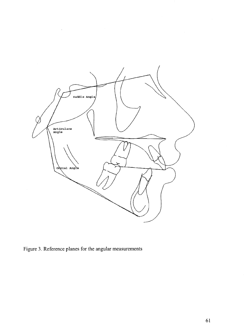

Figure 3. Reference planes for the angular measurements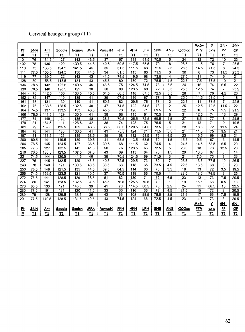# Cervical headgear group (Tl)

|                  |                 |                  |                  |                  |                   |                 |                 |                  |                 |                 |                  |                 | Mx6-            | Y                                  | SN-              | <u>SN-</u>      |
|------------------|-----------------|------------------|------------------|------------------|-------------------|-----------------|-----------------|------------------|-----------------|-----------------|------------------|-----------------|-----------------|------------------------------------|------------------|-----------------|
| <u>Pt</u>        | <b>SNA</b>      | Art              | Saddle           | <b>Gonion</b>    | <b>MPA</b>        | RamusH          | <b>PFH</b>      | <u>AFH</u>       | <u>LFH</u>      | SNB             | <u>ANB</u>       | QCOcc           | <u>PTV</u>      | axis                               | P                | QP              |
| #                | T1              | T1               | T1               | T1               | T1                | T1              | T1              | T1               | T1              | T1              | T1               | T1              | T1              | T1                                 | T1               | T1              |
| 101              | 76              | 134.5            | 127              | 142              | 43.5              | $\overline{37}$ | 67              | 118              | 63.5            | 70.5            | 5                | $\overline{24}$ | 12              | 72                                 | 10               | 23              |
| 102              | 78              | 136              | 129              | 139.5            | 44.5              | 40.5            | 69.5            | 117.5            | 65.5            | 70              | 8                | 26.5            | 11.5            | 76                                 | $\overline{7}$   | 25.5            |
| 110              | $\overline{75}$ | 138.5            | 124.5            | 141.5            | 45                | $\overline{35}$ | 61.5            | 111.5            | 63              | 72.5            | 2.5              | 26.5            | 14.5            | 71.5                               | 8                | 24.5            |
| 111              | 77.5            | 150.5            | 124.5            | 130              | 44.5              | $\overline{34}$ | 61.5            | 113              | 63              | 71.5            | 6                | $\overline{30}$ | 6               | $\overline{73}$<br>$\overline{74}$ | 11.5             | 23.5            |
| $\overline{119}$ | $\overline{77}$ | 139.5            | $\overline{122}$ | $\overline{142}$ | 43                | 41.5            | 74.5            | 119.5            | 68              | 73.5            | 4                | 27.5            | $\overline{11}$ |                                    | 6                | $\overline{21}$ |
| 128              | 80              | 156.5            | 115.5            | 131              | 43                | 45.5            | 80              | 130              | $\overline{72}$ | 75.5            | 4.5              | 22.5            | 7.5             | 73.5                               | 10               | $\overline{21}$ |
| 136              | 78.5            | $\overline{142}$ | 122.5            | 140.5            | 45                | 46.5            | $\overline{75}$ | 124.5            | 74.5            | 73              | 5.5              | $\overline{24}$ | $\overline{16}$ | 74                                 | 6.5              | $\overline{22}$ |
| 138              | 78.5            | 140              | 128.5            | 129              | $\overline{38}$   | 50              | 80              | 123.5            | 69              | $\overline{72}$ | 6.5              | 25.5            | 12.5            | $\overline{74}$                    | 7                | 23.5            |
| 144              | 76              | 142.5            | 130              | 133.5            | 45.5              | 34.5            | 66.5            | 118              | 67.5            | 72.5            | 3.5              | $\overline{28}$ | 7               | 76                                 | 4.5              | 23              |
| 152              | 82              | 147              | 119              | 135              | 41                | 39              | 67.5            | 116              | 67              | $\overline{77}$ | 5                | 25.5            | 11.5            | 68.5                               | 5                | $\overline{18}$ |
| 161              | $\overline{75}$ | 131              | 130              | 140              | $\overline{41}$   | 50.5            | 82              | 129.5            | 75              | $\overline{73}$ | $\overline{2}$   | 22.5            | 11              | 73.5                               | $\overline{7}$   | 22.5            |
| 162              | $\overline{75}$ | 138.5            | 128.5            | 132.5            | 40                | 47              | 74.5            | 122              | 64.5            | $\overline{73}$ | $\overline{2}$   | $\overline{25}$ | 12.5            | 72.5                               | 11.5             | $\overline{22}$ |
| 164              | 74.5            | 137              | 133.5            | 133              | 43.5              | 45.5            | 73              | 126              | 71              | 69.5            | 5                | 22              | 16              | 75                                 | 9.5              | 21.5            |
| 166              | 78.5            | 141.5            | 129              | 130.5            | 41                | $\overline{38}$ | 68              | 115              | 61              | 70.5            | $\overline{8}$   | 31              | 12.5            | $\overline{74}$                    | $\overline{13}$  | $\overline{29}$ |
| 177              | $\overline{74}$ | 149              | 124              | $\overline{135}$ | 48                | 38.5            | 70.5            | 125.5            | 72.5            | 69.5            | 4.5              | $\overline{27}$ | 6.5             | $\overline{77}$                    | $\overline{8}$   | 24.5            |
| 179              | 81              | 164.5            | 111              | 126.5            | 42                | 38              | 74              | 128              | 75              | 75.5            | 5                | $\overline{21}$ | $\overline{12}$ | $\overline{71}$                    | $\overline{0}$   | 19.5            |
| 181              | 79              | 139.5            | 125.5            | 139              | 43.5              | 38.5            | 68.5            | 120.5            | 64.5            | 73.5            | 5.5              | $\overline{28}$ | 18.5            | $\overline{72}$                    | 11.5             | $\overline{24}$ |
| 184              | $\overline{78}$ | 141              | 130              | 130.5            | 41                | 43              | 75.5            | 124              | 71              | 71.5            | 6.5              | $\overline{21}$ | 11.5            | $\overline{75}$                    | 9.5              | $\overline{21}$ |
| 187              | $\overline{81}$ | 133.5            | 126              | 139              | 38.5              | $\overline{39}$ | 68              | $\overline{112}$ | 58.5            | $\overline{76}$ | 4.5              | $\overline{23}$ | 16.5            | 69                                 | 8.5              | $\overline{21}$ |
| 200              | 80.5            | 141              | 119.5            | 139              | 39.5              | 41              | 68.5            | 113.5            | 63.5            | 79              | 1.5              | 15.5            | 9.5             | 67                                 | 3                | 14.5            |
| 204              | 78.5            | 145              | 124.5            | 127              | 36.5              | 39.5            | 68              | 111.5            | 62              | 74.5            | 4                | 24.5            | 14.5            | 68.5                               | 6.5              | $\overline{20}$ |
| 205              | 77.5            | 127              | 132.5            | 142              | 41.5              | 50              | 76              | 123.5            | 66              | 72.5            | 5                | 23.5            | 18              | $\overline{73}$                    | 12.5             | 23              |
| 216              | 76.5            | 136.5            | 123.5            | 137.5            | 37.5              | 43              | 69              | 113              | 64              | 75              | 1.5              | 20              | 18.5            | 67                                 | 3                | 14              |
| 221              | 74.5            | 144              | 120.5            | 141.5            | 46                | $\overline{38}$ | 70.5            | 124.5            | 69              | 71.5            | 3                | $\overline{21}$ | 7.5             | $\overline{73}$                    | $\overline{8}$   | $\overline{23}$ |
| 227              | 76              | 145              | 132.5            | 129              | 46.5              | 40.5            | 72.5            | 129.5            | $\overline{73}$ | 69              | $\overline{7}$   | 28.5            | 13.5            | 77.5                               | 10               | 26.5            |
| 243              | 78              | 140              | 121              | 139.5            | 40.5              | 38.5            | 68              | 118              | 65              | 73.5            | 4.5              | 22.5            | 16.5            | 68                                 | $\overline{9}$   | 23              |
| 250              | 76.5            | 148              | 121.5            | 135              | 44.5              | 39.5            | 64.5            | 114              | 66              | $\overline{73}$ | $\overline{3.5}$ | $\overline{18}$ | $\overline{13}$ | $\overline{72}$                    | $\overline{3.5}$ | 19.5            |
| 256              | 74.5            | 156.5            | 123.5            | 121              | 40.5              | $\overline{37}$ | 70.5            | 119              | 66              | 70.5            | 4                | 28.5            | 13.5            | 74.5                               | 9                | $\overline{25}$ |
| 272              | 78.5            | 141              | 128.5            | 129              | 38.5              | $\overline{51}$ | $\overline{82}$ | 130              | $\overline{71}$ | $\overline{72}$ | 6.5              | $\overline{23}$ | $\overline{12}$ | 73                                 | 7.5              | 20.5            |
| 274              | 80              | 141              | 123.5            | 132.5            | $\overline{37.5}$ | 45.5            | 76.5            | 125.5            | 70.5            | $\overline{79}$ | 1                | $\overline{19}$ | 15.5            | 68                                 | 0.5              | 18              |
| 278              | 80.5            | 133              | 121              | 145.5            | 39                | 41              | 70              | 114.5            | 60.5            | 78              | 2.5              | $\overline{24}$ | $\overline{11}$ | 66.5                               | 10               | 22.5            |
| 285              | 77.5            | 161              | 121              | 120              | 41.5              | 33              | 66              | 116              | 66              | $\overline{73}$ | 4.5              | 21.5            | $\overline{15}$ | $\overline{72}$                    | $\overline{c}$   | 20.5            |
| 289              | 79              | 128              | 129.5            | 138.5            | 36                | 43              | 66              | 108              | 58.5            | 75.5            | 3.5              | 21.5            | 17              | 66                                 | 7.5              | 19.5            |
| 291              | 77.5            | 140.5            | 128.5            | 131.5            | 40.5              | 43              | 74.5            | 124              | 68              | 72.5            | 4.5              | 23              | 14.5            | 73                                 | 8                | 20.5            |
|                  |                 |                  |                  |                  |                   |                 |                 |                  |                 |                 |                  |                 | Mx6-            | $\overline{\mathbf{X}}$            | SN-              | <u>SN-</u>      |
| 吐                | <u>SNA</u>      | <u>Art</u>       | Saddle           | Gonion           | <u>MPA</u>        | RamusH          | <u>PFH</u>      | <u>AFH</u>       | <u> LFH</u>     | SNB             | <u>ANB</u>       | QCOcc           | <u>PTV</u>      | axis                               | P                | QP              |
| #                | T1              | T1               | T1               | T1               | T1                | T1              | T1              | T1               | T1              | T1              | T1               | T1              | T1              | T1                                 | T1               | T1              |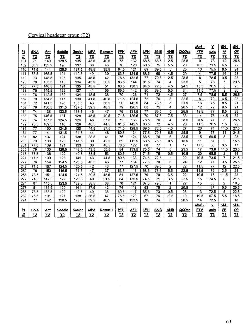# Cervical headgear group (T2)

|                  |                   |                |                  |                  |                 |                 |                 |                |                 |                 |                  |                   | Mx6-            | $\overline{\mathbf{y}}$ | <u>SN-</u>              | <u>SN-</u>       |
|------------------|-------------------|----------------|------------------|------------------|-----------------|-----------------|-----------------|----------------|-----------------|-----------------|------------------|-------------------|-----------------|-------------------------|-------------------------|------------------|
| <u>Pt</u>        | <u>SNA</u>        | Art            | Saddle           | Gonion           | <u>MPA</u>      | RamusH          | <b>PFH</b>      | <u>AFH</u>     | <u>LFH</u>      | <b>SNB</b>      | <u>ANB</u>       | QCOcc             | <u>рту</u>      | axis                    | P                       | QP               |
| #                | T <sub>2</sub>    | T <sub>2</sub> | T <sub>2</sub>   | T <sub>2</sub>   | T <sub>2</sub>  | T2              | T2              | T2             | T <sub>2</sub>  | T <sub>2</sub>  | T <sub>2</sub>   | T <sub>2</sub>    | T <sub>2</sub>  | T <sub>2</sub>          | Т2                      | T2               |
| 101              | 71                | 140            | 128.5            | 135              | 43.5            | 40.5            | 73              | 132            | 68.5            | 68.5            | 2.5              | 25.5              | 9               | 73                      | 12                      | 25.5             |
| 102              | 80.5              | 135.5          | 126              | 137              | 38              | 43              | 76              | 120            | 68.5            | 75              | 5.5              | 20                | 10.5            | 71.5                    | 6.5                     | $\overline{22}$  |
| 110              | 74.5              | 144            | 126.5            | 137.5            | 48.5            | 35.5            | 64.5            | 121            | 69              | 69.5            | 5                | $\overline{25}$   | 13              | 75.5                    | 8.5                     | $\overline{24}$  |
| 111              | 73.5              | 165.5          | 124              | 119.5            | 49              | $\overline{30}$ | 63.5            | 124.5          | 68.5            | 69              | $\overline{4.5}$ | 29                | $\overline{4}$  | 77.5                    | $\overline{16}$         | $\overline{28}$  |
| 119              | 73                | 148.5          | 125              | 135              | 48.5            | $\overline{42}$ | 76.5            | 132.5          | 77              | 70.5            | $\overline{2.5}$ | 28.5              | $\overline{8}$  | 78.5                    | 9.5                     | $\overline{28}$  |
| 128              | 78                | 155.5          | 116              | 134              | 45.5            | 36.5            | 86.5            | 144            | 81.5            | $\overline{74}$ | 4                | 23.5              | 5               | 76                      | $\overline{7}$          | 23.5             |
| 136              | $\overline{77.5}$ | 146.5          | 124              | $\overline{135}$ | 45.5            | 51              | 83.5            | 138.5          | 84.5            | 72.5            | 4.5              | 24.5              | 15.5            | 76.5                    | 8                       | $\overline{23}$  |
| 138              | 75                | 145.5          | 129              | 127              | 41              | 55              | 89.5            | 142            | 80              | 69.5            | $\overline{5.5}$ | 34                | 11.5            | 77.5                    | 8                       | $\overline{30}$  |
| 144              | $\overline{76}$   | 142.5          | 132              | 134              | 48.5            | $\overline{38}$ | 70              | 126            | $\overline{71}$ | $\overline{72}$ | 4.5              | $\overline{27}$   | 7.5             | 78.5                    | 8.5                     | 26.5             |
| $\overline{152}$ | 79                | 154.5          | $\overline{117}$ | 130              | 41.5            | 40.5            | 71.5            | 124.5          | 72              | $\overline{76}$ | 3                | 22.5              | 8               | 70                      | 6.5                     | 23               |
| 161              | 72                | 141.5          | 126              | 135.5            | 43              | 56.5            | 90              | 142.5          | 84              | 73.5            | $-1$             | $\overline{21.5}$ | $\overline{16}$ | $\overline{75}$         | 8.5                     | $\overline{21}$  |
| 162              | 79                | 130.5          | 131.5            | 137.5            | 39.5            | 48.5            | 79              | 126.5          | 68              | 75              | 4                | 20.5              | 12              | 72                      | 9.5                     | 21               |
| 164              | $\overline{74}$   | 138            | 133.5            | 133.5            | 45              | $\overline{47}$ | 76              | 131.5          | $\overline{77}$ | 69.5            | 5                | 25.5              | 18.5            | $\overline{77}$         | 8.5                     | $\overline{25}$  |
| 166              | $\overline{75}$   | 146.5          | 131              | 128              | 45.5            | 40.5            | 71.5            | 126.5          | 70              | 67.5            | 7.5              | $\overline{33}$   | 14              | 78                      | 14.5                    | $\overline{32}$  |
| 177              | 74                | 157.5          | 124.5            | 126              | 48              | 37.5            | $\overline{72}$ | 133            | 78.5            | $\overline{70}$ | 4                | 28.5              | $-0.5$          | $\overline{77}$         | $\overline{8}$          | 26.5             |
| 179              | 76.5              | 169.5          | 110              | 129              | 48.5            | 44.5            | 81.5            | 142.5          | 86.5            | $\overline{72}$ | 4.5              | $\overline{23}$   | 11.5            | 76.5                    | $\overline{1.5}$        | $\overline{22}$  |
| 181              | $\overline{77}$   | 150            | 124.5            | 130              | 44.5            | 37.5            | 71.5            | 128.5          | 69.5            | 72.5            | 4.5              | $\overline{27}$   | 20              | 74                      | 11.5                    | $\frac{1}{27.5}$ |
| 184              | 77                | 141            | 131.5            | 131.5            | $\overline{44}$ | 48              | 80.5            | 134            | 77.5            | 70.5            | 6.5              | 25.5              | $\overline{9}$  | $\overline{77}$         | 11                      | 24.5             |
| 187              | 82                | 137            | 124              | 138              | 38.5            | $\overline{41}$ | $\overline{76}$ | 124            | 66.5            | 76              | 6                | 23.5              | $\overline{15}$ | 69.5                    | $\overline{\mathbf{8}}$ | $\overline{23}$  |
| 200              | 79                | 138            | 120              | 141.5            | 39              | 42.5            | 69              | 112.5          | 63.5            | 78.5            | 0.5              | 15.5              | $\overline{11}$ | 67                      | $\overline{2}$          | 15.5             |
| 204              | 77.5              | 139            | $\overline{124}$ | 133              | 36              | 48.5            | 78.5            | 122            | 68              | $\overline{77}$ | 1                | $\overline{17}$   | 17.5            | 68                      | 8.5                     | $\overline{17}$  |
| 205              | 79                | 130            | 129.5            | 143.5            | 43.5            | 55.5            | $\overline{84}$ | 133.5          | 75.5            | 74              | 5                | 23.5              | 17              | 73.6                    | 11.5                    | 23.5             |
| 216              | 75.5              | 136            | 122              | 140.5            | 38.5            | 53              | 80.5            | 125            | 71.5            | $\overline{75}$ | 0.5              | 10.5              | $\overline{20}$ | 68.5                    | 2                       | $\overline{14}$  |
| $\overline{221}$ | 71.5              | 139            | 123              | 141              | $\overline{43}$ | 44.5            | 80.5            | 133            | 74.5            | 72.5            | $-1$             | $\overline{22}$   | 10.5            | 73.5                    | $\overline{7}$          | 21.5             |
| $\overline{227}$ | 76                | 154            | 124.5            | 128.5            | 46.5            | 46              | 77              | 134            | 77.5            | $\overline{70}$ | $\overline{6}$   | $\overline{24}$   | $\overline{12}$ | $\overline{77}$         | 9.5                     | 25.5             |
| 243              | 71.5              | 157            | 124.5            | 120.5            | 42              | $\overline{43}$ | $\overline{77}$ | 127.5          | 70              | 69.5            | $\overline{2}$   | $\overline{22}$   | 11.5            | $\overline{77}$         | $\overline{12}$         | 22.5             |
| 250              | $\overline{79}$   | 153            | 116.5            | 137.5            | $\overline{47}$ | $\overline{37}$ | 63.5            | 116            | 68.5            | 73.5            | 5.5              | 22.5              | 11.5            | $\overline{72}$         | 3.5                     | $\overline{24}$  |
| 256              | 73.5              | 151            | 124.5            | 124.5            | 39.5            | 48.5            | 81              | 127.5          | 70              | 70              | 3.5              | $\overline{22}$   | 10.5            | 76                      | 11.5                    | $\overline{22}$  |
| $\frac{272}{ }$  | 74.5              | 142.5          | 129              | 128.5            | 40              | 51.5            | 84              | 135.5          | 74.5            | $\overline{71}$ | 3.5              | 22.5              | $\overline{15}$ | 74.5                    | 8                       | 21.5             |
| 274              | 81                | 145.5          | 123.5            | 129.5            | 38.5            | 38              | 70              | 121            | 67.5            | 79.5            | 1                | $\overline{22}$   | $\overline{15}$ | 68                      | $\overline{2}$          | 18.5             |
| 278              | 81                | 136.5          | 120              | 141              | 37.5            | 42              | $\overline{74}$ | 118            | 63              | 79              | $\overline{c}$   | 20.5              | $\overline{14}$ | 67                      | 9.5                     | 20.5             |
| 285              | 73.5              | 158.5          | 122              | 119.5            | 40              | 38              | 69.5            | 117            | 65.5            | $\overline{73}$ | 0.5              | $\overline{23}$   | $\overline{13}$ | 72.5                    | 5                       | 22.5             |
| 289              | 75.5              | 131            | 127              | 138              | 36.5            | $\overline{47}$ | 75.5            | 120            | 67              | 76              | $-0.5$           | 19                | 19.5            | 67.5                    | 5.5                     | 18.5             |
| 291              | 77                | 142            | 128.5            | 128.5            | 39.5            | 46.5            | 76              | 123.5          | 70              | $\overline{74}$ | 3                | 20.5              | $\overline{14}$ | 72.5                    | 5                       | $\overline{18}$  |
|                  |                   |                |                  |                  |                 |                 |                 |                |                 |                 |                  |                   | Mx6-            | $\overline{Y}$          | <u>SN-</u>              | <u>SN-</u>       |
| P <sub>t</sub>   | SNA               | <u>Art</u>     | Saddle           | Gonion           | <b>MPA</b>      | RamusH          | <b>PFH</b>      | <u>AFH</u>     | LFH             | <b>SNB</b>      | <b>ANB</b>       | QCOcc             | <b>PTV</b>      | axis                    | PP                      | QP               |
| #                | T2                | T2             | <u>T2</u>        | <u>T2</u>        | T <sub>2</sub>  | <u>T2</u>       | T2              | T <sub>2</sub> | T2              | T <sub>2</sub>  | Т2               | T2                | T <sub>2</sub>  | T2                      | T2                      | T <sub>2</sub>   |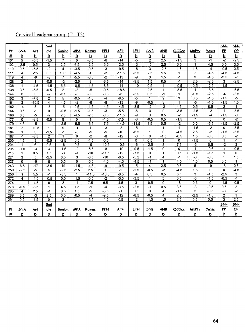# Cervical headgear group  $(T1-T2)$

|                  |                                 |                  | Sad             |                          |                              |                                   |                |                            |                         |                         |                         |                      |                                           |                  | SN-              | <u>SN-</u>              |
|------------------|---------------------------------|------------------|-----------------|--------------------------|------------------------------|-----------------------------------|----------------|----------------------------|-------------------------|-------------------------|-------------------------|----------------------|-------------------------------------------|------------------|------------------|-------------------------|
| P <sub>t</sub>   | SNA                             | Art              | dle             | Gonion                   | <b>MPA</b>                   | Ramus                             | <b>PFH</b>     | <b>AFH</b>                 | <u> LFH</u>             | <b>SNB</b>              | <b>ANB</b>              | QCOcc                | <b>MxPtv</b>                              | Yaxis            | P                | QP                      |
| #                | D                               | D                | D               | D                        | D                            | D                                 | D              | D                          | $\overline{\mathbf{D}}$ | $\overline{D}$          | $\overline{\mathbf{D}}$ | $\overline{D}$       | $\overline{\mathbf{D}}$                   | D                | D                | $\overline{\mathsf{D}}$ |
| 101              | 5                               | $-5.5$           | $-1.5$          | 7                        | 0                            | $-3.5$                            | $-6$           | $-14$                      | $-5$                    | $\overline{2}$          | 2.5                     | $-1.5$               | 3                                         | $-1$             | $-2$             | $-2.5$                  |
| 102              | $-2.5$                          | 0.5              | 3               | 2.5                      | 6.5                          | $-2.5$                            | $-6.5$         | $-2.5$                     | $-3$                    | $-5$                    | 2.5                     | 6.5                  | 1                                         | 4.5              | 0.5              | 3.5                     |
| 110              | 0.5                             | $-5.5$           | $\overline{.2}$ | 4                        | $-3.5$                       | $-0.5$                            | $-3$           | $-9.5$                     | $-6$                    | $\overline{\mathbf{3}}$ | $-2.5$                  | 1.5                  | 1.5                                       | $-4$             | $-0.5$           | 0.5                     |
| 111              | $\overline{\mathbf{4}}$         | $-15$<br>-9      | 0.5<br>$-3$     | 10.5                     | $-4.5$<br>$-5.5$             | $\overline{\mathbf{4}}$<br>$-0.5$ | -2<br>$-2$     | $-11.5$                    | $-5.5$<br>-9            | $\overline{2.5}$<br>3   | 1.5                     | 1<br>$-1$            | $\overline{2}$<br>$\overline{\mathbf{3}}$ | $-4.5$<br>$-4.5$ | $-4.5$<br>$-3.5$ | $-4.5$<br>$-7$          |
| 119              | $\overline{4}$                  | 1                | $-0.5$          | $\overline{7}$<br>$-3$   |                              | 9                                 | $-6.5$         | $-13$<br>$-14$             | $-9.5$                  | $\overline{1.5}$        | 1.5<br>0.5              | $-1$                 | 2.5                                       | $-2.5$           | 3                | $\overline{2.5}$        |
| 128              | $\overline{2}$                  |                  |                 |                          | $-2.5$                       |                                   |                | $-14$                      | $-10$                   | 0.5                     |                         | $-0.5$               |                                           | $-2.5$           | $-1.5$           | $-1$                    |
| 136<br>138       | $\mathbf 1$<br>$\overline{3.5}$ | $-4.5$<br>$-5.5$ | $-1.5$          | 5.5                      | $-0.5$                       | $-4.5$<br>$-5$                    | $-8.5$<br>-9.5 |                            | $-11$                   | 2.5                     | 1                       | $-8.5$               | 0.5                                       | $-3.5$           | $-1$             | $-6.5$                  |
| 144              | $\mathbf 0$                     | 0                | $-0.5$<br>$-2$  | $\overline{2}$<br>$-0.5$ | $-3$<br>$\overline{\cdot 3}$ | $\overline{3.5}$                  | $-3.5$         | $-18.5$<br>$-\overline{8}$ | $-3.5$                  | 0.5                     | 1<br>$-1$               | 1                    | 1<br>$-0.5$                               | $-2.5$           | $-4$             | $-3.5$                  |
| 152              | 3                               | $-7.5$           | $\overline{2}$  | 5                        | $-0.5$                       | $-1.5$                            | $-4$           | $-8.5$                     | $\overline{-5}$         | 1                       | $\overline{2}$          | $\overline{3}$       | 3.5                                       | $-1.5$           | $-1.5$           | $-5$                    |
| 161              | 3                               | $-10.5$          | 4               | 4.5                      | $-2$                         | $-6$                              | $-8$           | $-13$                      | -9                      | $-0.5$                  | 3                       | 1                    | $-5$                                      | $-1.5$           | $-1.5$           | $\overline{1.5}$        |
| 162              | $-4$                            | 8                | $-3$            | $-5$                     | 0.5                          | $-1.5$                            | $-4.5$         | $-4.5$                     | $-3.5$                  | $-2$                    | $-2$                    | 4.5                  | 0.5                                       | 0.5              | 2                | 1                       |
| 164              | 0.5                             | $-1$             | 0               | $-0.5$                   | $-1.5$                       | $-1.5$                            | $-3$           | $-5,5$                     | $-6$                    | 0                       | 0                       | $-3.5$               | $-2.5$                                    | $-2$             | 1                | $-3.5$                  |
| 166              | 3.5                             | $-5$             | $\overline{2}$  | 2.5                      | $-4.5$                       | $-2.5$                            | $-3.5$         | $-11.5$                    | -9                      | $\overline{3}$          | $\overline{0.5}$        | $-2$                 | $-1.5$                                    | $-4$             | $-1.5$           | $-3$                    |
| 177              | $\mathbf{0}$                    | $-8.5$           | $-0.5$          | 9                        | $\Omega$                     | 1                                 | $-1.5$         | $-7.5$                     | $-6$                    | $-0.5$                  | 0.5                     | $-1.5$               | 7                                         | 0                | 0                | $\overline{2}$          |
| 179              | 4.5                             | $-5$             | 1               | $-2.5$                   | $-6.5$                       | $-6.5$                            | $-7.5$         | $-14.5$                    | $-11.5$                 | $\overline{3.5}$        | 0.5                     | $-2$                 | 0.5                                       | $-5.5$           | $-1.5$           | $-2.5$                  |
| 181              | $\overline{2}$                  | $-10.5$          | 1               | 9                        | $-1$                         | 1                                 | $-3$           | $-8$                       | $-5$                    | 1                       | 1                       | $\mathbf{1}$         | $-1.5$                                    | $-2$             | 0                | $-3.5$                  |
| 184              | 1                               | $\mathbf 0$      | $-1.5$          | $-1$                     | $-3$                         | $-5$                              | -5             | $-10$                      | $-6.5$                  | $\mathbf 1$             | 0                       | $-4.5$               | 2.5                                       | $-2$             | $-1.5$           | $-3.5$                  |
| 187              | $-1$                            | $-3.5$           | $\overline{2}$  | 1                        | $\mathbf 0$                  | $-2$                              | -8             | $-12$                      | $-\frac{8}{3}$          | $\mathbf 0$             | $-1.5$                  | $-0.5$               | $\overline{1.5}$                          | $-0.5$           | 0.5              | $\overline{.2}$         |
| 200              | 1.5                             | 3                | $-0.5$          | $-2.5$                   | 0.5                          | $-1.5$                            | $-0.5$         | 1                          | 0                       | 0.5                     | 1                       | $\mathbf 0$          | $-1.5$                                    | $\mathbf 0$      | 1                | $-1$                    |
| 204              | 1                               | 6                | 0.5             | $-6$                     | 0.5                          | -9                                | $-10.5$        | $-10.5$                    | $-6$                    | $-2.5$                  | 3                       | 7.5                  | $\overline{\cdot 3}$                      | 0.5              | $-2$             | 3                       |
| 205              | $-1.\overline{5}$               | $-3$             | 3               | $-1.5$                   | $-2$                         | $-5.5$                            | $-8$           | $-10$                      | $-9.5$                  | $-1.5$                  | 0                       | 0                    | 1                                         | $-0.6$           | 1                | $-0.5$                  |
| 216              | 1                               | 0.5              | 1.5             | $-3$                     | $-1$                         | $-10$                             | $-11.5$        | $-12$                      | $-7.5$                  | 0                       | 1                       | 9.5                  | $-1.5$                                    | $-1.5$           | 1                | 0                       |
| 221              | 3                               | 5                | $-2.5$          | 0.5                      | 3                            | $-6.5$                            | $-10$          | $-8.5$                     | $-5.5$                  | $-1$                    | 4                       | $-1$                 | $\overline{\cdot}$                        | $-0.5$           | 1                | $\overline{1.5}$        |
| 227              | $\Omega$                        | -9               | 8               | 0.5                      | 0                            | $-5.5$                            | $-4.5$         | $-4.5$                     | $-4.5$                  | $-1$                    | 1                       | 4.5                  | $\overline{1.5}$                          | 0.5              | 0.5              | 1                       |
| 243              | 6.5                             | $-17$            | $-3.5$          | $\overline{19}$          | $-1.5$                       | $-4.5$                            | $-9$           | $-9.5$                     | $-5$                    | $\overline{\mathbf{4}}$ | 2.5                     | 0.5                  | 5                                         | -9               | $-3$             | 0.5                     |
| 250              | $-2.5$                          | $-5$             | 5               | $-2.5$                   | $-2.5$                       | 2.5                               | 1              | $-2$                       | $-2.5$                  | $-0.5$                  | $-2$                    | $-4.5$               | 1.5                                       | 0                | 0                | $-4.5$                  |
| 256              | 1                               | 5.5              | $-1$            | $-3.5$                   | 1                            | $-11.5$                           | $-10.5$        | $-8.5$                     | $-4$                    | 0.5                     | 0.5                     | 6.5                  | 3                                         | $-1.5$           | $-2.5$           | 3                       |
| $\overline{272}$ | 4                               | $-1.5$           | $-0.5$          | 0.5                      | $-1.5$                       | $-0.5$                            | $-2$           | $-5.5$                     | $-3.5$                  | 1                       | 3                       | 0.5                  | $\overline{\cdot 3}$                      | $-1.5$           | $-0.5$           | $-1$                    |
| 274              | $-1$                            | $-4.5$           | $\mathbf{0}$    | 3                        | $-1$                         | 7.5                               | 6.5            | 4.5                        | $\overline{3}$          | $-0.5$                  | $\overline{0}$          | $\overline{\cdot 3}$ | 0.5                                       | 0                | $-1.5$           | $-0.5$                  |
| 278              | $-0.5$                          | $-3.5$           | 1               | $\overline{4.5}$         | $\overline{1.5}$             | $-1$                              | $-4$           | $-3.5$                     | $-2.5$                  | $-1$                    | 0.5                     | $\overline{3.5}$     | -3                                        | $-0.5$           | 0.5              | $\overline{2}$          |
| 285              | $\overline{4}$                  | 2.5              | $-1$            | 0.5                      | 1.5                          | $-5$                              | $-3.5$         | $-1$                       | 0.5                     | 0                       | 4                       | $-1.5$               | 2                                         | $-0.5$           | $-3$             | $\overline{.2}$         |
| 289              | 3.5                             | $-3$             | 2.5             | 0.5                      | $-0.5$                       | $-4$                              | $-9.5$         | $-12$                      | $-8.5$                  | $-0.5$                  | 4                       | 2.5                  | $-2.5$                                    | $-1.5$           | $\overline{2}$   | 1                       |
| 291              | 0.5                             | $-1.5$           | $\Omega$        | 3                        | 1                            | $-3.5$                            | $-1.5$         | 0.5                        | $-2$                    | $-1.5$                  | 1.5                     | 2.5                  | 0.5                                       | 0.5              | 3                | 2.5                     |
|                  |                                 |                  | Sad             |                          |                              |                                   |                |                            |                         |                         |                         |                      |                                           |                  | $SN-$            | $SN-$                   |
| P <sub>t</sub>   | SNA                             | Art              | <u>dle</u>      | <b>Gonion</b>            | <u>MPA</u>                   | Ramus                             | <b>PFH</b>     | <u>AFH</u>                 | LFH                     | <b>SNB</b>              | <b>ANB</b>              | QCOcc                | <b>MxPtv</b>                              | Yaxis            | P                | $\underline{OP}$        |
| #                | D                               | D                | D               | ₫                        | ₫                            | D                                 | $\overline{D}$ | ō                          | $\overline{D}$          | $\overline{D}$          | ₫                       | ₫                    | ₫                                         | ₫                | D                | D                       |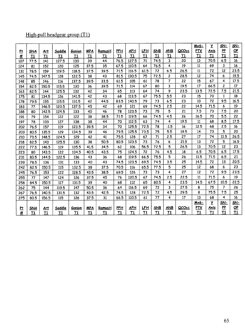# High-pull headgear group (Tl)

|                 |            |            |        |        |            |               |            |            |             |            |                |              | Mx6-       | Y           | <u>SN-</u>     | <u>SN-</u>      |
|-----------------|------------|------------|--------|--------|------------|---------------|------------|------------|-------------|------------|----------------|--------------|------------|-------------|----------------|-----------------|
| P <sub>t</sub>  | SNA        | Art        | Saddle | Gonion | <b>MPA</b> | RamusH        | <b>PFH</b> | <u>AFH</u> | <u> LFH</u> | <b>SNB</b> | <u>ANB</u>     | <u>QCOcc</u> | <b>PTV</b> | Axis        | P              | $\overline{OP}$ |
| #               | T1         | T1         | T1     | T1     | T1         | T1            | T1         | T1         | T1          | T1         | T1             | T1           | T1         | T1          | T1             | T1              |
| 107             | 77.5       | 141        | 127.5  | 130    | 39         | 44            | 76.5       | 127.5      | 71          | 74.5       | 3              | 20           | 13         | 70.5        | 6.5            | 16              |
| 124             | 81         | 152        | 120    | 125    | 37.5       | 35            | 67.5       | 110.5      | 64          | 76.5       | 4              | 19           | 11         | 69          | 3              | 16              |
| 131             | 78.5       | 159        | 119.5  | 118.5  | 37.5       | 39.5          | 71.5       | 116.5      | 61.5        | 72         | 6.5            | 26.5         | 11         | 72          | 12             | 23.5            |
| 145             | 74.5       | 147.5      | 128    | 122.5  | 38         | 43            | 81.5       | 130.5      | 75          | 72.5       | 2              | 28.5         | 12         | 74          | 6              | 19.5            |
| 148             | 85         | 146        | 116    | 137.5  | 39.5       | 33.5          | 61.5       | 105        | 61          | 78         | $\overline{7}$ | 22           | 15         | 67          | 4              | 17.5            |
| 154             | 82.5       | 150.5      | 115.5  | 130    | 36         | 39.5          | 71.5       | 114        | 67          | 80         | 3              | 19.5         | 17         | 66.5        | $\overline{c}$ | 17              |
| 163             | 82.5       | 144        | 125.5  | 132    | 42         | 34            | 65         | 113        | 64          | 74         | 9              | 23.5         | 13.5       | 72.5        | 7.5            | 21.5            |
| 175             | 81         | 1345       | 126    | 141.5  | 42         | 43            | 68         | 113.5      | 67          | 75.5       | 5.5            | 23           | 15         | 70          | $\mathbf{1}$   | 18              |
| 178             | 79.5       | 155        | 115.5  | 131.5  | 42         | 44.5          | 83.5       | 140.5      | 79          | 73         | 6.5            | 23           | 10         | 72          | 9.5            | 16.5            |
| 183             | 77         | 146.5      | 120.5  | 137.5  | 45         | 42            | 69         | 121        | 69          | 74.5       | 2.5            | 22           | 14.5       | 71.5        | 6              | 19              |
| 188             | 80         | 142.5      | 124.5  | 133    | 40         | 46            | 78         | 123.5      | 73          | 75         | 5              | 21           | 7.5        | 73          | 7.5            | 20              |
| 191             | 79         | 154        | 122    | 122    | 38         | 38.5          | 71,5       | 119.5      | 66          | 74.5       | 4.5            | 26           | 16.5       | 70          | 5.5            | 22              |
| 197             | 78         | 133        | 127    | 138    | 38         | 44            | 70         | 112.5      | 63          | 74         | 4              | 19.5         | 11         | 68          | 8.5            | 17.5            |
| 202             | 76.5       | 157        | 119    | 123.5  | 39.5       | 34            | 70         | 125.5      | 72.5        | 78         | $-1.5$         | 16           | 12.5       | 68          | 2.5            | 16              |
| 203             | 80.5       | 135.5      | 129    | 134.5  | 39         | 46            | 79.5       | 125.5      | 73.5        | 75         | 5.5            | 19.5         | 14         | 73          | 5              | 20              |
| 210             | 73.5       | 148.5      | 124.5  | 129    | 42         | 41            | 75.5       | 128        | 67          | 71         | 2.5            | 27           | 17         | 74          | 11.5           | 26.5            |
| 218             | 82.5       | 143        | 125.5  | 130    | 38         | 50.5          | 80.5       | 123.5      | 73          | 76         | 6              | 21.5         | 13         | 72          | 5              | 16.5            |
| 222             | 77.5       | 146.5      | 119    | 135.5  | 41.5       | 34.5          | 62         | 106        | 56.5        | 72.5       | 5              | 26.5         | 13         | 70.5        | 12             | 23              |
| 223             | 80         | 143.5      | 122    | 134.5  | 40.5       | 43.5          | 75         | 124.5      | 72          | 76         | 4.5            | 18           | 6.5        | 70.5        | 6.5            | 17.5            |
| 231             | 80.5       | 144.5      | 122.5  | 136    | 43         | 36            | 68         | 119.5      | 66.5        | 75.5       | 5              | 26           | 11.5       | 71.5        | 6.5            | 21              |
| 239             | 78.5       | 136        | 131    | 133    | 40         | 43            | 74.5       | 123.5      | 69.5        | 74.5       | 3.5            | 25           | 14.5       | 72          | 13             | 20.5            |
| 242             | 82.5       | 150.5      | 115    | 132.5  | 38         | 37.5          | 70.5       | 116        | 65.5        | 77.5       | 5              | 25           | 12         | 68          | 6              | 23              |
| 245             | 76.5       | 153        | 122    | 128.5  | 43.5       | 38.5          | 69.5       | 126        | 73          | 73         | 4              | 27           | 12         | 72          | 9.5            | 23.5            |
| 255             | 77         | 147        | 124    | 126    | 37.5       | 45            | 76         | 120.5      | 67          | 74.5       | 2.5            | 22.5         | 11         | 71.5        | 6              | 19              |
| 258             | 84.5       | 150.5      | 117    | 131.5  | 39         | 40            | 68         | 112        | 65          | 80.5       | 4              | 23.5         | 14.5       | 67.5        | 10.5           | 22,5            |
| 262             | 75         | 144        | 119.5  | 147    | 50.5       | 36            | 64         | 116.5      | 69          | 72         | 3              | 27.5         | 8          | 75          | 7              | 26              |
| 267             | 76.5       | 140.5      | 131.5  | 132    | 43.5       | 42.5          | 74.5       | 128        | 72.5        | 72         | 4.5            | 29.5         | 8          | 75.5        | 7.5            | 25              |
| 275             | 80.5       | 156.5      | 115    | 126    | 37.5       | 31            | 66.5       | 110.5      | 61          | 77         | 4              | 17           | 13         | 68          | 4              | 16              |
|                 |            |            |        |        |            |               |            |            |             |            |                |              | Mx6-       | Ÿ           | <u>SN-</u>     | <u>SN-</u>      |
|                 | <b>SNA</b> | <u>Art</u> | Saddle | Gonion | <b>MPA</b> | <b>RamusH</b> | <b>PFH</b> | <u>AFH</u> | <u>LFH</u>  | <b>SNB</b> | <b>ANB</b>     | QCOcc        | PTV        | <u>Axis</u> | <b>PP</b>      | QP              |
| $rac{P_1}{H_1}$ | T1         | T1         | T1     | T1     | T1         | T1            | T1         | T1         | T1          | T1         | T1             | T1           | T1         | T1          | T1             | T1              |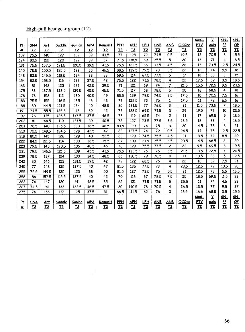## High-pull headgear group (T2)

|          |                        |                |                       |                       |                      |                          |                       |                              |                  |                              |                       |                         | Mx6-             | Y                       | <u>SN-</u>      | <u>SN-</u>                |
|----------|------------------------|----------------|-----------------------|-----------------------|----------------------|--------------------------|-----------------------|------------------------------|------------------|------------------------------|-----------------------|-------------------------|------------------|-------------------------|-----------------|---------------------------|
| 吐        | <b>SNA</b>             | Art            | Saddle                | Gonion                | <b>MPA</b>           | RamusH<br>T <sub>2</sub> | PFH<br>T <sub>2</sub> | <b>AFH</b><br>T <sub>2</sub> | <u>LFH</u><br>T2 | <b>SNB</b><br>T <sub>2</sub> | ANB<br>T <sub>2</sub> | QCOcc<br>T <sub>2</sub> | <b>PTV</b><br>T2 | axis<br>T <sub>2</sub>  | PP<br><b>T2</b> | QP<br>T2                  |
| #<br>107 | T <sub>2</sub><br>75.5 | T <sub>2</sub> | T <sub>2</sub><br>127 | T <sub>2</sub><br>132 | T <sub>2</sub><br>39 | 43.5                     | 77                    | 128                          | 72               | 74.5                         | 0.5                   | 19.5                    | 12               | 70.5                    | 6               | 15.5                      |
| 124      | 80.5                   | 140<br>152     | 120                   | 127                   | 39                   | 37                       | 71.5                  | 118.5                        | 69               | 75.5                         | 5                     | 20                      | 13               | 71                      | 4               | 18.5                      |
| 131      | 75.5                   | 157.5          | 121.5                 | 120.5                 | 39.5                 | 41.5                     | 75.5                  | 123.5                        | 66               | 71.5                         | 4.5                   | 28                      | 13               | 73.5                    | 12.5            | 24.5                      |
| 145      | 75.5                   | 150.5          | 125.5                 | 122                   | 38                   | 46.5                     | 88.5                  | 139.5                        | 79.5             | 73                           | 2.5                   | 22                      | 12               | 74                      | 5.5             | 18                        |
| 148      | 82.5                   | 145.5          | 118.5                 | 134                   | 38                   | 38                       | 69.5                  | 114                          | 67.5             | 77.5                         | 5                     | 17                      | 18               | 68                      | 3               | 15                        |
| 154      | 82.5                   | 158.5          | 116                   | 123                   | 37.5                 | 42                       | 75.5                  | 122                          | 71.5             | 78.5                         | 4                     | 22                      | 17.5             | 69                      | 3.5             | 18.5                      |
| 163      | 81                     | 148            | 123                   | 132                   | 42.5                 | 39.5                     | 71                    | 121                          | 69               | 74                           | $\overline{7}$        | 21.5                    | 15.5             | 72.5                    | 9.5             | 23.5                      |
| 175      | 83                     | 137.5          | 123.5                 | 139.5                 | 40.5                 | 45.5                     | 71.5                  | 117                          | 68               | 78.5                         | 5                     | 20                      | 16               | 68.5                    | 4               | 18                        |
| 178      | 78                     | 158            | 112                   | 130                   | 40.5                 | 49                       | 85.5                  | 139                          | 79.5             | 74.5                         | 3.5                   | 17.5                    | 10               | 70.5                    | 7.5             | 16                        |
| 183      | 75.5                   | 155            | 116.5                 | 135                   | 46                   | 43                       | 73                    | 128.5                        | 73               | 75                           | $\mathbf{1}$          | 17.5                    | 11               | 72                      | 6.5             | 16                        |
| 188      | 80                     | 144.5          | 121.5                 | 134                   | 40                   | 48.5                     | 85                    | 131.5                        | 77               | 76.5                         | 3                     | 21                      | 11.5             | 73.5                    | $\overline{7}$  | 18.5                      |
| 191      | 74.5                   | 155.5          | 125.5                 | 118                   | 39                   | 42                       | 76                    | 128.5                        | 69.5             | 71.5                         | 3                     | 29                      | 19.5             | 73                      | 10              | 25.5                      |
| 197      | 76                     | 135            | 125.5                 | 137.5                 | 37.5                 | 48.5                     | 76                    | 119                          | 65.5             | 74                           | $\overline{c}$        | $\overline{21}$         | 17               | 69.5                    | 9               | 18.5                      |
| 202      | 81                     | 148.5          | 119                   | 131.5                 | 39                   | 40,5                     | 75                    | 127                          | 73.5             | 77.5                         | 3.5                   | 18.5                    | 18               | 68                      | 4               | 16.5                      |
| 203      | 78.5                   | 140            | 125.5                 | 133                   | 38.5                 | 46.5                     | 83.5                  | 129                          | 74               | 75                           | 3                     | 20                      | 14.5             | 73                      | 8               | 21                        |
| 210      | 72.5                   | 149.5          | 124.5                 | 128                   | 42.5                 | 47                       | 83                    | 137.5                        | 74               | 72                           | 0.5                   | 24.5                    | 14               | 75                      | 12.5            | 22.5                      |
| 218      | 80.5                   | 145            | 126                   | 129                   | 40                   | 52.5                     | 83                    | 129                          | 74.5             | 75.5                         | 4.5                   | 21                      | 13.5             | 74                      | 8.5             | 20                        |
| 222      | 84.5                   | 151.5          | 114                   | 133                   | 38.5                 | 35.5                     | 67                    | 109                          | 61.5             | 75.5                         | 8.5                   | 20.5                    | 14.5             | 68.5                    | 8               | 20                        |
| 223      | 79.5                   | 145            | 120.5                 | 135                   | 40.5                 | 46                       | 78                    | 129                          | 75.5             | 77.5                         | $\overline{c}$        | 23                      | 9.5              | 69.5                    | 6               | 19.5                      |
| 231      | 79.5                   | 145.5          | 121.5                 | 139                   | 45.5                 | 41.5                     | 75.5                  | 133.5                        | 76               | 76                           | 3.5                   | 21.5                    | 13.5             | 72.5                    | 7               | 20.5                      |
| 239      | 78.5                   | 137            | 124                   | 133                   | 34.5                 | 48.5                     | 85                    | 130.5                        | 79               | 78.5                         | $\Omega$              | 13                      | 13.5             | 68                      | 5               | 12.5                      |
| 242      | 80                     | 146            | 122                   | 131.5                 | 39.5                 | 42                       | 72                    | 122                          | 68.5             | 76                           | 4                     | 22                      | 16               | 69                      | 7.5             | 21                        |
| 245      | 77                     | 148            | 125                   | 127.5                 | 40                   | 47                       | 81.5                  | 135                          | 77.5             | 73                           | 4                     | 23.5                    | 12.5             | 72                      | 10.5            | 20                        |
| 255      | 75.5                   | 149.5          | 125                   | 123                   | 38                   | 50                       | 81.5                  | 127                          | 72.5             | 75                           | 0.5                   | 21                      | 12.5             | 73                      | 5.5             | 18.5                      |
| 258      | 86                     | 157.5          | 115.5                 | 127.5                 | 40                   | 42                       | 70                    | 116                          | 67               | 78.5                         | 7.5                   | 25                      | 18.5             | 69.5                    | 11.5            | 23                        |
| 262      | 76                     | 147            | 120                   | 141                   | 48.5                 | 35                       | 65                    | 121                          | 71.5             | 71.5                         | 5                     | 25.5                    | 11               | 74                      | 4.5             | 23                        |
| 267      | 74.5                   | 141            | 133                   | 132.5                 | 46.5                 | 47.5                     | 80                    | 140.5                        | 78               | 70.5                         | 4                     | 26.5                    | 13.5             | 77                      | 9.5             | 27                        |
| 275      | 76                     | 156            | 117                   | 125                   | 37.5                 | 31                       | 66.5                  | 111.5                        | 62               | 76                           | 0                     | 16.5                    | 16.6             | 68.5                    | 3.5             | 15.5                      |
|          |                        |                |                       |                       |                      |                          |                       |                              |                  |                              |                       |                         | <u>Mx6-</u>      | $\overline{\mathbf{Y}}$ | <u>SN-</u>      | <u>SN-</u>                |
| 叶兰       | SNA                    | Art            | Saddle                | Gonion                | <b>MPA</b>           | RamusH                   | <b>PFH</b>            | <u>AFH</u>                   | <u>LFH</u>       | <b>SNB</b>                   | <b>ANB</b>            | QCOcc                   | <b>PTV</b>       | axis                    | P               | $\underline{\mathsf{OP}}$ |
|          | T <sub>2</sub>         | $12$           | T2                    | <u>T2</u>             | <u>T2</u>            | T <sub>2</sub>           | T <sub>2</sub>        | T2                           | T <sub>2</sub>   | T <sub>2</sub>               | T <sub>2</sub>        | $12$                    | T <sub>2</sub>   | T <sub>2</sub>          | T2              | T2                        |

 $\frac{1}{\sqrt{2}}\sum_{i=1}^{n} \frac{1}{\sqrt{2}}\left(\frac{1}{\sqrt{2}}\right)^2$